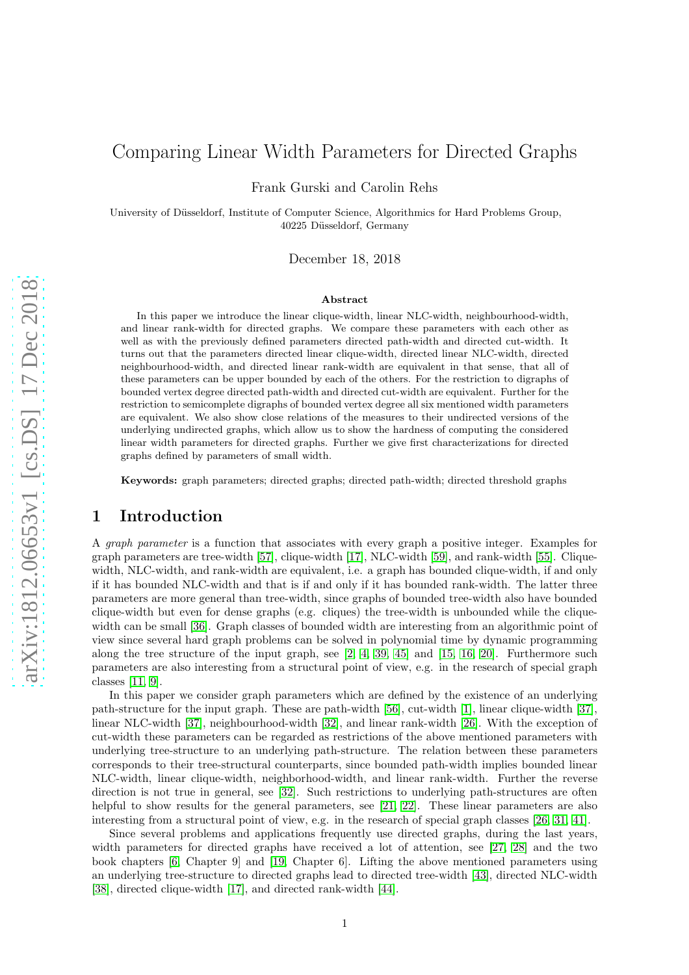# Comparing Linear Width Parameters for Directed Graphs

Frank Gurski and Carolin Rehs

University of Düsseldorf, Institute of Computer Science, Algorithmics for Hard Problems Group, 40225 Düsseldorf, Germany

December 18, 2018

#### Abstract

In this paper we introduce the linear clique-width, linear NLC-width, neighbourhood-width, and linear rank-width for directed graphs. We compare these parameters with each other as well as with the previously defined parameters directed path-width and directed cut-width. It turns out that the parameters directed linear clique-width, directed linear NLC-width, directed neighbourhood-width, and directed linear rank-width are equivalent in that sense, that all of these parameters can be upper bounded by each of the others. For the restriction to digraphs of bounded vertex degree directed path-width and directed cut-width are equivalent. Further for the restriction to semicomplete digraphs of bounded vertex degree all six mentioned width parameters are equivalent. We also show close relations of the measures to their undirected versions of the underlying undirected graphs, which allow us to show the hardness of computing the considered linear width parameters for directed graphs. Further we give first characterizations for directed graphs defined by parameters of small width.

Keywords: graph parameters; directed graphs; directed path-width; directed threshold graphs

## <span id="page-0-0"></span>1 Introduction

A *graph parameter* is a function that associates with every graph a positive integer. Examples for graph parameters are tree-width [\[57\]](#page-21-0), clique-width [\[17\]](#page-19-0), NLC-width [\[59\]](#page-22-0), and rank-width [\[55\]](#page-21-1). Cliquewidth, NLC-width, and rank-width are equivalent, i.e. a graph has bounded clique-width, if and only if it has bounded NLC-width and that is if and only if it has bounded rank-width. The latter three parameters are more general than tree-width, since graphs of bounded tree-width also have bounded clique-width but even for dense graphs (e.g. cliques) the tree-width is unbounded while the cliquewidth can be small [\[36\]](#page-20-0). Graph classes of bounded width are interesting from an algorithmic point of view since several hard graph problems can be solved in polynomial time by dynamic programming along the tree structure of the input graph, see  $[2, 4, 39, 45]$  $[2, 4, 39, 45]$  $[2, 4, 39, 45]$  $[2, 4, 39, 45]$  and  $[15, 16, 20]$  $[15, 16, 20]$  $[15, 16, 20]$ . Furthermore such parameters are also interesting from a structural point of view, e.g. in the research of special graph classes [\[11,](#page-19-5) [9\]](#page-19-6).

In this paper we consider graph parameters which are defined by the existence of an underlying path-structure for the input graph. These are path-width [\[56\]](#page-21-4), cut-width [\[1\]](#page-19-7), linear clique-width [\[37\]](#page-20-2), linear NLC-width [\[37\]](#page-20-2), neighbourhood-width [\[32\]](#page-20-3), and linear rank-width [\[26\]](#page-20-4). With the exception of cut-width these parameters can be regarded as restrictions of the above mentioned parameters with underlying tree-structure to an underlying path-structure. The relation between these parameters corresponds to their tree-structural counterparts, since bounded path-width implies bounded linear NLC-width, linear clique-width, neighborhood-width, and linear rank-width. Further the reverse direction is not true in general, see [\[32\]](#page-20-3). Such restrictions to underlying path-structures are often helpful to show results for the general parameters, see [\[21,](#page-20-5) [22\]](#page-20-6). These linear parameters are also interesting from a structural point of view, e.g. in the research of special graph classes [\[26,](#page-20-4) [31,](#page-20-7) [41\]](#page-21-5).

Since several problems and applications frequently use directed graphs, during the last years, width parameters for directed graphs have received a lot of attention, see [\[27,](#page-20-8) [28\]](#page-20-9) and the two book chapters [\[6,](#page-19-8) Chapter 9] and [\[19,](#page-19-9) Chapter 6]. Lifting the above mentioned parameters using an underlying tree-structure to directed graphs lead to directed tree-width [\[43\]](#page-21-6), directed NLC-width [\[38\]](#page-21-7), directed clique-width [\[17\]](#page-19-0), and directed rank-width [\[44\]](#page-21-8).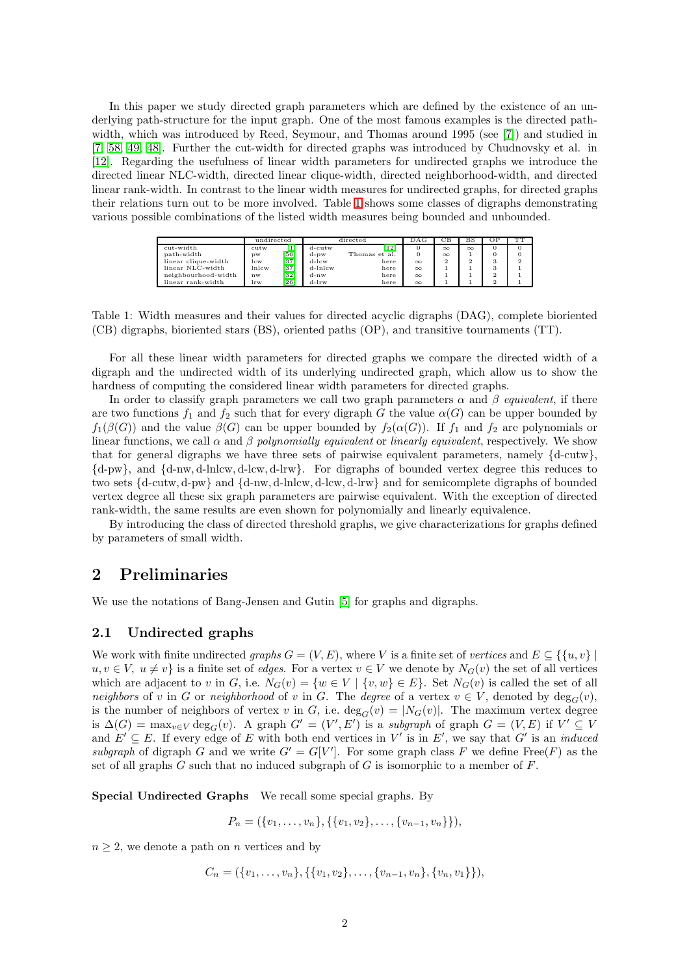In this paper we study directed graph parameters which are defined by the existence of an underlying path-structure for the input graph. One of the most famous examples is the directed pathwidth, which was introduced by Reed, Seymour, and Thomas around 1995 (see [\[7\]](#page-19-10)) and studied in [\[7,](#page-19-10) [58,](#page-22-1) [49,](#page-21-9) [48\]](#page-21-10). Further the cut-width for directed graphs was introduced by Chudnovsky et al. in [\[12\]](#page-19-11). Regarding the usefulness of linear width parameters for undirected graphs we introduce the directed linear NLC-width, directed linear clique-width, directed neighborhood-width, and directed linear rank-width. In contrast to the linear width measures for undirected graphs, for directed graphs their relations turn out to be more involved. Table [1](#page-0-0) shows some classes of digraphs demonstrating various possible combinations of the listed width measures being bounded and unbounded.

|                     | undirected |      | directed |               | DAG      | СВ       | вs       | OF       | TТ             |
|---------------------|------------|------|----------|---------------|----------|----------|----------|----------|----------------|
| cut-width           | cutw       | 14.1 | d-cutw   | 121           |          | $\infty$ | $\infty$ | $\Omega$ |                |
| path-width          | DW         | 56   | d-pw     | Thomas et al. |          | $\infty$ |          |          |                |
| linear clique-width | lcw        | [37] | $d$ -lcw | here          | $\infty$ | ີ        | 2        | $\Omega$ | $\overline{2}$ |
| linear NLC-width    | lnlcw      | 371  | d-lnlcw  | here          | $\infty$ |          |          |          |                |
| neighbourhood-width | nw         | 32]  | $d-nw$   | here          | $\infty$ |          |          |          |                |
| linear rank-width   | lrw        | 26   | $d-lrw$  | here          | $\infty$ |          |          | $\sim$   |                |

Table 1: Width measures and their values for directed acyclic digraphs (DAG), complete bioriented (CB) digraphs, bioriented stars (BS), oriented paths (OP), and transitive tournaments (TT).

For all these linear width parameters for directed graphs we compare the directed width of a digraph and the undirected width of its underlying undirected graph, which allow us to show the hardness of computing the considered linear width parameters for directed graphs.

In order to classify graph parameters we call two graph parameters  $\alpha$  and  $\beta$  *equivalent*, if there are two functions  $f_1$  and  $f_2$  such that for every digraph G the value  $\alpha(G)$  can be upper bounded by  $f_1(\beta(G))$  and the value  $\beta(G)$  can be upper bounded by  $f_2(\alpha(G))$ . If  $f_1$  and  $f_2$  are polynomials or linear functions, we call  $\alpha$  and  $\beta$  *polynomially equivalent* or *linearly equivalent*, respectively. We show that for general digraphs we have three sets of pairwise equivalent parameters, namely  $\{d\text{-cutw}\}\$ . {d-pw}, and {d-nw, d-lnlcw, d-lcw, d-lrw}. For digraphs of bounded vertex degree this reduces to two sets {d-cutw, d-pw} and {d-nw, d-lnlcw, d-lcw, d-lrw} and for semicomplete digraphs of bounded vertex degree all these six graph parameters are pairwise equivalent. With the exception of directed rank-width, the same results are even shown for polynomially and linearly equivalence.

By introducing the class of directed threshold graphs, we give characterizations for graphs defined by parameters of small width.

## 2 Preliminaries

We use the notations of Bang-Jensen and Gutin [\[5\]](#page-19-12) for graphs and digraphs.

## 2.1 Undirected graphs

We work with finite undirected *graphs*  $G = (V, E)$ , where V is a finite set of *vertices* and  $E \subseteq \{ \{u, v\} \mid$  $u, v \in V$ ,  $u \neq v$  is a finite set of *edges*. For a vertex  $v \in V$  we denote by  $N_G(v)$  the set of all vertices which are adjacent to v in G, i.e.  $N_G(v) = \{w \in V \mid \{v, w\} \in E\}$ . Set  $N_G(v)$  is called the set of all *neighbors* of v in G or *neighborhood* of v in G. The *degree* of a vertex  $v \in V$ , denoted by  $deg_G(v)$ , is the number of neighbors of vertex v in G, i.e.  $deg_G(v) = |N_G(v)|$ . The maximum vertex degree is  $\Delta(G) = \max_{v \in V} \deg_G(v)$ . A graph  $G' = (V', E')$  is a *subgraph* of graph  $G = (V, E)$  if  $V' \subseteq V$ and  $E' \subseteq E$ . If every edge of E with both end vertices in V' is in E', we say that G' is an *induced* subgraph of digraph G and we write  $G' = G[V']$ . For some graph class F we define Free(F) as the set of all graphs  $G$  such that no induced subgraph of  $G$  is isomorphic to a member of  $F$ .

Special Undirected Graphs We recall some special graphs. By

 $P_n = (\{v_1, \ldots, v_n\}, \{\{v_1, v_2\}, \ldots, \{v_{n-1}, v_n\}\}),$ 

 $n \geq 2$ , we denote a path on *n* vertices and by

$$
C_n = (\{v_1, \ldots, v_n\}, \{\{v_1, v_2\}, \ldots, \{v_{n-1}, v_n\}, \{v_n, v_1\}\}),
$$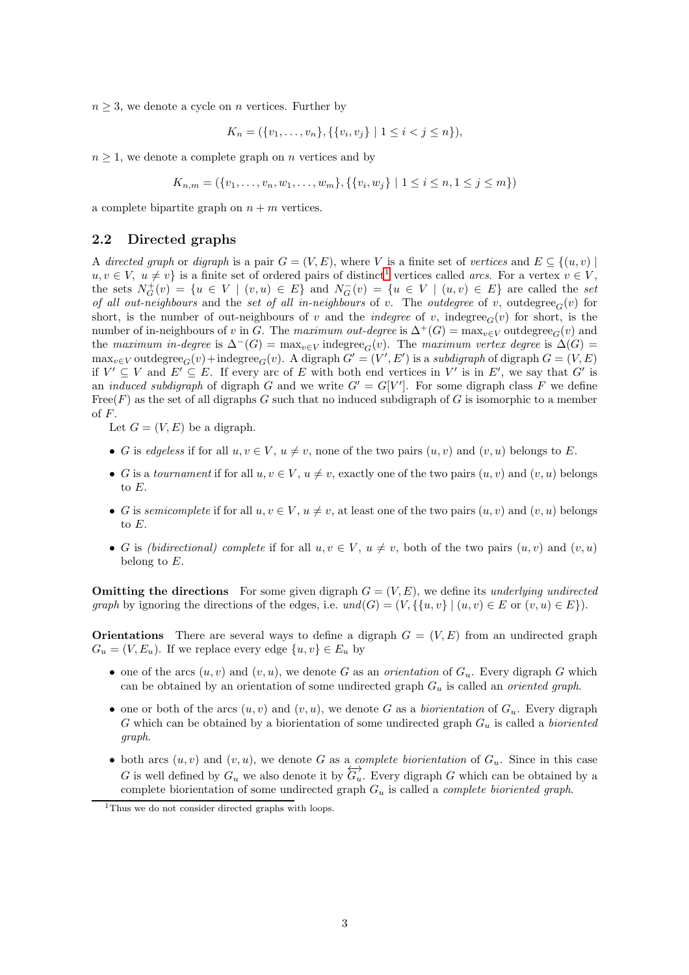$n \geq 3$ , we denote a cycle on *n* vertices. Further by

$$
K_n = (\{v_1, \ldots, v_n\}, \{\{v_i, v_j\} \mid 1 \le i < j \le n\}),
$$

 $n \geq 1$ , we denote a complete graph on n vertices and by

$$
K_{n,m} = (\{v_1, \ldots, v_n, w_1, \ldots, w_m\}, \{\{v_i, w_j\} \mid 1 \le i \le n, 1 \le j \le m\})
$$

a complete bipartite graph on  $n + m$  vertices.

### 2.2 Directed graphs

A *directed graph* or *digraph* is a pair  $G = (V, E)$ , where V is a finite set of *vertices* and  $E \subseteq \{(u, v) \mid$  $u, v \in V$ ,  $u \neq v$  is a finite set of ordered pairs of distinct<sup>[1](#page-2-0)</sup> vertices called *arcs*. For a vertex  $v \in V$ , the sets  $N_G^+(v) = \{u \in V \mid (v, u) \in E\}$  and  $N_G^-(v) = \{u \in V \mid (u, v) \in E\}$  are called the *set of all out-neighbours* and the *set of all in-neighbours* of v. The *outdegree* of v, outdegree<sub>G</sub>(v) for short, is the number of out-neighbours of v and the *indegree* of v, indegree<sub> $G(v)$ </sub> for short, is the number of in-neighbours of v in G. The maximum out-degree is  $\Delta^+(G) = \max_{v \in V}$  outdegree<sub>G</sub>(v) and the *maximum in-degree* is  $\Delta^{-}(G) = \max_{v \in V} \text{indegree}_G(v)$ . The *maximum vertex degree* is  $\Delta(G) =$  $\max_{v \in V}$  outdegree<sub> $G$ </sub> $(v)$  +  $\text{indegree}_G(v)$ . A digraph  $G' = (V', E')$  is a *subdigraph* of digraph  $G = (V, E)$ if  $V' \subseteq V$  and  $E' \subseteq E$ . If every arc of E with both end vertices in V' is in E', we say that G' is an *induced subdigraph* of digraph G and we write  $G' = G[V']$ . For some digraph class F we define Free(F) as the set of all digraphs G such that no induced subdigraph of G is isomorphic to a member of F.

Let  $G = (V, E)$  be a digraph.

- G is *edgeless* if for all  $u, v \in V$ ,  $u \neq v$ , none of the two pairs  $(u, v)$  and  $(v, u)$  belongs to E.
- G is a *tournament* if for all  $u, v \in V$ ,  $u \neq v$ , exactly one of the two pairs  $(u, v)$  and  $(v, u)$  belongs to E.
- G is *semicomplete* if for all  $u, v \in V$ ,  $u \neq v$ , at least one of the two pairs  $(u, v)$  and  $(v, u)$  belongs to E.
- G is *(bidirectional) complete* if for all  $u, v \in V$ ,  $u \neq v$ , both of the two pairs  $(u, v)$  and  $(v, u)$ belong to  $E$ .

**Omitting the directions** For some given digraph  $G = (V, E)$ , we define its *underlying undirected graph* by ignoring the directions of the edges, i.e.  $und(G) = (V, \{\{u, v\} \mid (u, v) \in E \text{ or } (v, u) \in E\}).$ 

**Orientations** There are several ways to define a digraph  $G = (V, E)$  from an undirected graph  $G_u = (V, E_u)$ . If we replace every edge  $\{u, v\} \in E_u$  by

- one of the arcs  $(u, v)$  and  $(v, u)$ , we denote G as an *orientation* of  $G_u$ . Every digraph G which can be obtained by an orientation of some undirected graph G<sup>u</sup> is called an *oriented graph*.
- one or both of the arcs  $(u, v)$  and  $(v, u)$ , we denote G as a *biorientation* of  $G_u$ . Every digraph G which can be obtained by a biorientation of some undirected graph  $G_u$  is called a *bioriented graph*.
- both arcs  $(u, v)$  and  $(v, u)$ , we denote G as a *complete biorientation* of  $G_u$ . Since in this case G is well defined by  $G_u$  we also denote it by  $\overleftrightarrow{G_u}$ . Every digraph G which can be obtained by a complete biorientation of some undirected graph G<sup>u</sup> is called a *complete bioriented graph*.

<span id="page-2-0"></span><sup>&</sup>lt;sup>1</sup>Thus we do not consider directed graphs with loops.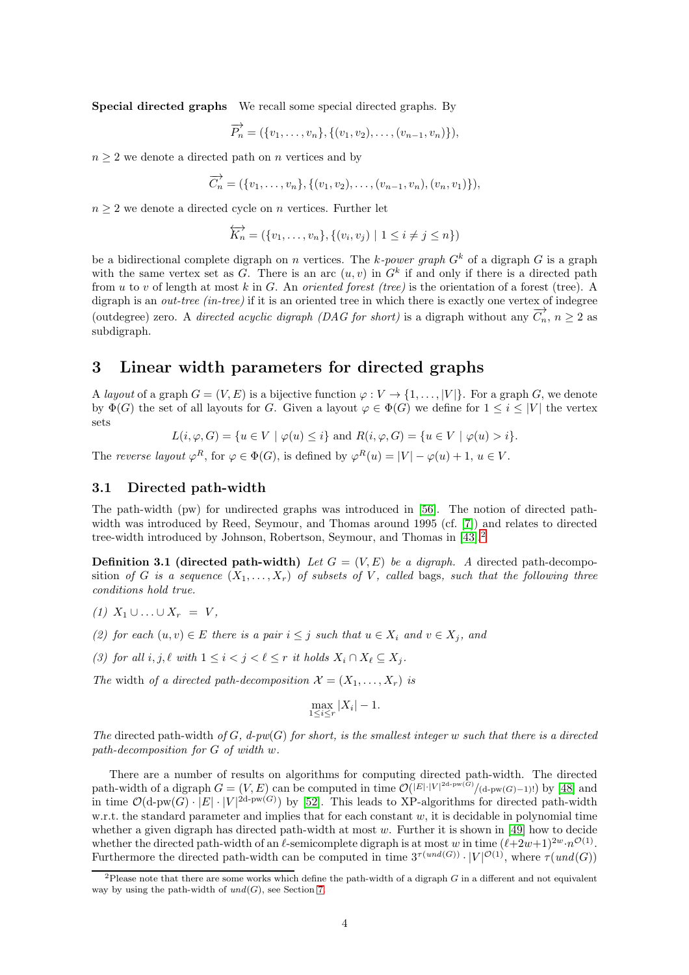Special directed graphs We recall some special directed graphs. By

$$
\overrightarrow{P_n} = (\{v_1, \ldots, v_n\}, \{(v_1, v_2), \ldots, (v_{n-1}, v_n)\}),
$$

 $n \geq 2$  we denote a directed path on  $n$  vertices and by

$$
\overrightarrow{C_n} = (\{v_1, \ldots, v_n\}, \{(v_1, v_2), \ldots, (v_{n-1}, v_n), (v_n, v_1)\}),
$$

 $n \geq 2$  we denote a directed cycle on n vertices. Further let

$$
\overleftrightarrow{K_n} = (\{v_1, \ldots, v_n\}, \{(v_i, v_j) \mid 1 \leq i \neq j \leq n\})
$$

be a bidirectional complete digraph on n vertices. The k-power graph  $G<sup>k</sup>$  of a digraph G is a graph with the same vertex set as G. There is an arc  $(u, v)$  in  $G<sup>k</sup>$  if and only if there is a directed path from u to v of length at most k in G. An *oriented forest (tree)* is the orientation of a forest (tree). A digraph is an *out-tree (in-tree)* if it is an oriented tree in which there is exactly one vertex of indegree (outdegree) zero. A *directed acyclic digraph (DAG for short)* is a digraph without any  $\overrightarrow{C_n}$ ,  $n \geq 2$  as subdigraph.

## <span id="page-3-1"></span>3 Linear width parameters for directed graphs

A *layout* of a graph  $G = (V, E)$  is a bijective function  $\varphi : V \to \{1, \ldots, |V|\}$ . For a graph G, we denote by  $\Phi(G)$  the set of all layouts for G. Given a layout  $\varphi \in \Phi(G)$  we define for  $1 \leq i \leq |V|$  the vertex sets

 $L(i, \varphi, G) = \{u \in V \mid \varphi(u) \leq i\}$  and  $R(i, \varphi, G) = \{u \in V \mid \varphi(u) > i\}.$ 

The *reverse layout*  $\varphi^R$ , for  $\varphi \in \Phi(G)$ , is defined by  $\varphi^R(u) = |V| - \varphi(u) + 1$ ,  $u \in V$ .

## <span id="page-3-4"></span>3.1 Directed path-width

The path-width (pw) for undirected graphs was introduced in [\[56\]](#page-21-4). The notion of directed pathwidth was introduced by Reed, Seymour, and Thomas around 1995 (cf. [\[7\]](#page-19-10)) and relates to directed tree-width introduced by Johnson, Robertson, Seymour, and Thomas in [\[43\]](#page-21-6).<sup>[2](#page-3-0)</sup>

<span id="page-3-2"></span>**Definition 3.1 (directed path-width)** *Let*  $G = (V, E)$  *be a digraph.* A directed path-decomposition *of* G *is a sequence*  $(X_1, \ldots, X_r)$  *of subsets of* V, called bags, such that the following three *conditions hold true.*

- <span id="page-3-3"></span>*(1)*  $X_1$  ∪ ... ∪  $X_r = V$ *,*
- *(2) for each*  $(u, v) \in E$  *there is a pair*  $i ≤ j$  *such that*  $u ∈ X_i$  *and*  $v ∈ X_j$ *, and*
- *(3)* for all  $i, j, \ell$  *with*  $1 \leq i < j < \ell \leq r$  *it holds*  $X_i \cap X_\ell \subseteq X_j$ *.*

*The* width *of a directed path-decomposition*  $\mathcal{X} = (X_1, \ldots, X_r)$  *is* 

$$
\max_{1 \le i \le r} |X_i| - 1.
$$

*The* directed path-width *of* G*, d-pw*(G) *for short, is the smallest integer* w *such that there is a directed path-decomposition for* G *of width* w*.*

There are a number of results on algorithms for computing directed path-width. The directed path-width of a digraph  $G = (V, E)$  can be computed in time  $\mathcal{O}(|E| \cdot |V|^{2d-pw(G)}/(d-pw(G)-1)!)$  by [\[48\]](#page-21-10) and in time  $\mathcal{O}(\text{d-pw}(G) \cdot |E| \cdot |V|^{2d-pw(G)})$  by [\[52\]](#page-21-11). This leads to XP-algorithms for directed path-width w.r.t. the standard parameter and implies that for each constant  $w$ , it is decidable in polynomial time whether a given digraph has directed path-width at most  $w$ . Further it is shown in [\[49\]](#page-21-9) how to decide whether the directed path-width of an  $\ell$ -semicomplete digraph is at most w in time  $(\ell+2w+1)^{2w} \cdot n^{\mathcal{O}(1)}$ . Furthermore the directed path-width can be computed in time  $3^{\tau(und(G))} \cdot |V|^{\mathcal{O}(1)}$ , where  $\tau(und(G))$ 

<span id="page-3-0"></span><sup>&</sup>lt;sup>2</sup>Please note that there are some works which define the path-width of a digraph  $G$  in a different and not equivalent way by using the path-width of  $und(G)$ , see Section [7.](#page-18-0)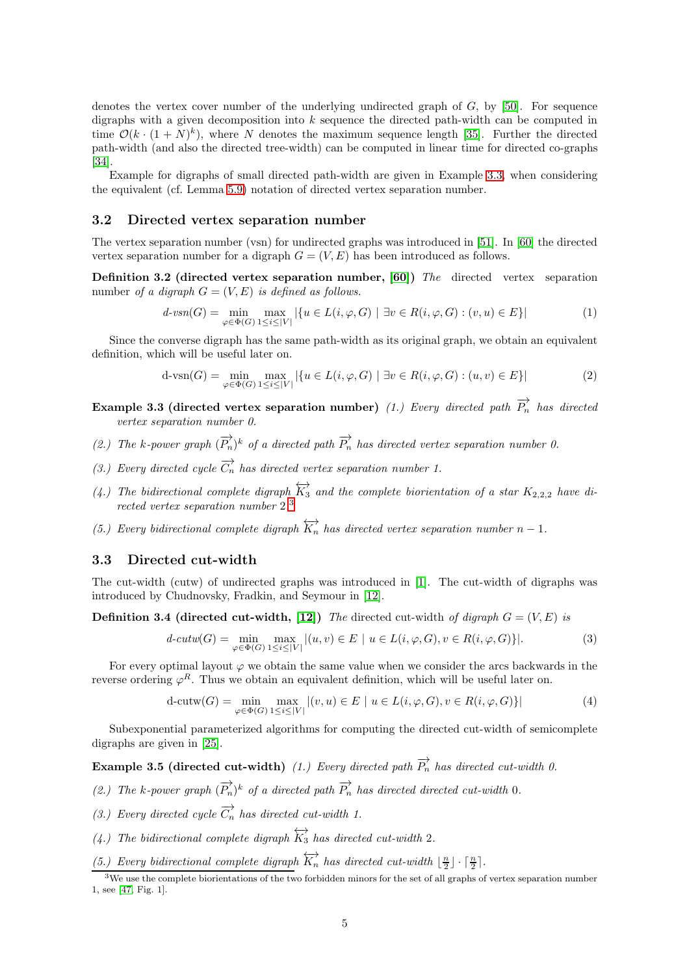denotes the vertex cover number of the underlying undirected graph of  $G$ , by [\[50\]](#page-21-12). For sequence digraphs with a given decomposition into  $k$  sequence the directed path-width can be computed in time  $\mathcal{O}(k \cdot (1+N)^k)$ , where N denotes the maximum sequence length [\[35\]](#page-20-10). Further the directed path-width (and also the directed tree-width) can be computed in linear time for directed co-graphs [\[34\]](#page-20-11).

Example for digraphs of small directed path-width are given in Example [3.3,](#page-4-0) when considering the equivalent (cf. Lemma [5.9\)](#page-12-0) notation of directed vertex separation number.

## 3.2 Directed vertex separation number

The vertex separation number (vsn) for undirected graphs was introduced in [\[51\]](#page-21-13). In [\[60\]](#page-22-2) the directed vertex separation number for a digraph  $G = (V, E)$  has been introduced as follows.

Definition 3.2 (directed vertex separation number, [\[60\]](#page-22-2)) *The* directed vertex separation number *of a digraph*  $G = (V, E)$  *is defined as follows.* 

<span id="page-4-3"></span>
$$
d\text{-}vsn(G) = \min_{\varphi \in \Phi(G)} \max_{1 \le i \le |V|} |\{u \in L(i, \varphi, G) \mid \exists v \in R(i, \varphi, G) : (v, u) \in E\}|
$$
(1)

Since the converse digraph has the same path-width as its original graph, we obtain an equivalent definition, which will be useful later on.

<span id="page-4-4"></span>
$$
\mathrm{d}\text{-}\mathrm{vsn}(G) = \min_{\varphi \in \Phi(G)} \max_{1 \le i \le |V|} |\{u \in L(i, \varphi, G) \mid \exists v \in R(i, \varphi, G) : (u, v) \in E\}| \tag{2}
$$

- <span id="page-4-0"></span>Example 3.3 (directed vertex separation number) *(1.) Every directed path*  $\overrightarrow{P_n}$  *has directed vertex separation number 0.*
- (2.) The k-power graph  $(\overrightarrow{P_n})^k$  of a directed path  $\overrightarrow{P_n}$  has directed vertex separation number 0.
- *(3.) Every directed cycle*  $\overrightarrow{C_n}$  *has directed vertex separation number 1.*
- (4.) The bidirectional complete digraph  $\overleftrightarrow{K_3}$  and the complete biorientation of a star  $K_{2,2,2}$  have di*rected vertex separation number* 2*.* [3](#page-4-1)
- *(5.) Every bidirectional complete digraph*  $\overleftrightarrow{K_n}$  *has directed vertex separation number*  $n-1$ *.*

### 3.3 Directed cut-width

The cut-width (cutw) of undirected graphs was introduced in [\[1\]](#page-19-7). The cut-width of digraphs was introduced by Chudnovsky, Fradkin, and Seymour in [\[12\]](#page-19-11).

**Definition 3.4 (directed cut-width, [\[12\]](#page-19-11))** *The* directed cut-width *of digraph*  $G = (V, E)$  *is* 

<span id="page-4-5"></span>
$$
d\text{-}cutw(G) = \min_{\varphi \in \Phi(G)} \max_{1 \le i \le |V|} |(u, v) \in E \mid u \in L(i, \varphi, G), v \in R(i, \varphi, G) \}|. \tag{3}
$$

For every optimal layout  $\varphi$  we obtain the same value when we consider the arcs backwards in the reverse ordering  $\varphi^R$ . Thus we obtain an equivalent definition, which will be useful later on.

<span id="page-4-2"></span>
$$
d\text{-cutw}(G) = \min_{\varphi \in \Phi(G)} \max_{1 \le i \le |V|} |(v, u) \in E \mid u \in L(i, \varphi, G), v \in R(i, \varphi, G) \}| \tag{4}
$$

Subexponential parameterized algorithms for computing the directed cut-width of semicomplete digraphs are given in [\[25\]](#page-20-12).

Example 3.5 (directed cut-width) (1.) Every directed path  $\overrightarrow{P_n}$  has directed cut-width 0.

- (2.) The k-power graph  $(\overrightarrow{P_n})^k$  of a directed path  $\overrightarrow{P_n}$  has directed directed cut-width 0.
- *(3.) Every directed cycle*  $\overrightarrow{C_n}$  *has directed cut-width 1.*
- *(4.)* The bidirectional complete digraph  $\overleftrightarrow{K_3}$  has directed cut-width 2*.*
- *(5.) Every bidirectional complete digraph*  $\overleftrightarrow{K_n}$  *has directed cut-width*  $\lfloor \frac{n}{2} \rfloor \cdot \lceil \frac{n}{2} \rceil$ .

<span id="page-4-1"></span> $3$ We use the complete biorientations of the two forbidden minors for the set of all graphs of vertex separation number 1, see [\[47,](#page-21-14) Fig. 1].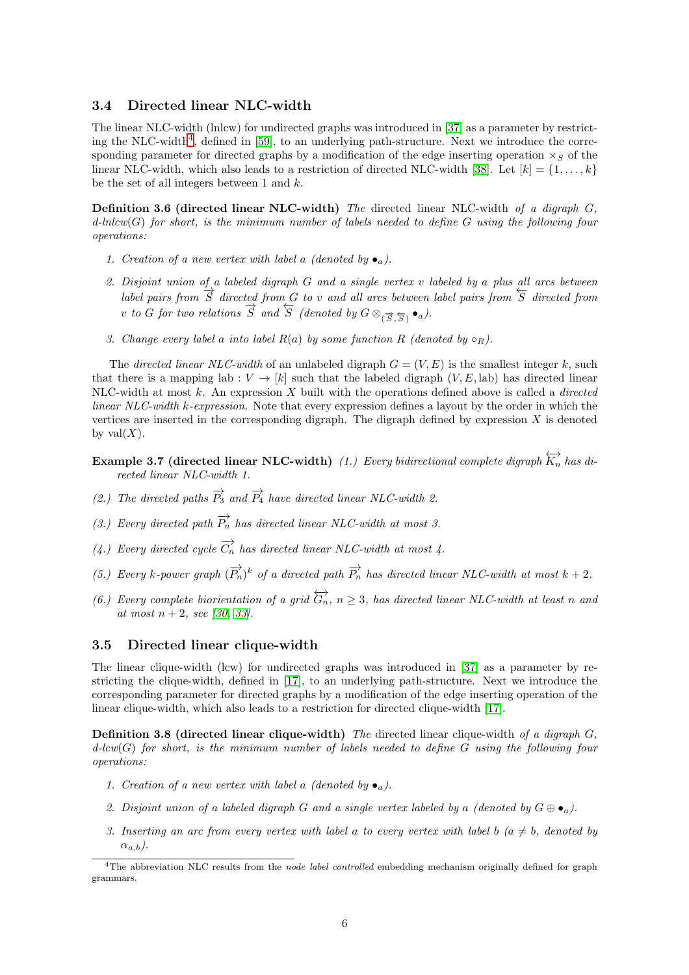#### 3.4 Directed linear NLC-width

The linear NLC-width (lnlcw) for undirected graphs was introduced in [\[37\]](#page-20-2) as a parameter by restrict-ing the NLC-width<sup>[4](#page-5-0)</sup>, defined in  $[59]$ , to an underlying path-structure. Next we introduce the corresponding parameter for directed graphs by a modification of the edge inserting operation  $\times_S$  of the linear NLC-width, which also leads to a restriction of directed NLC-width [\[38\]](#page-21-7). Let  $[k] = \{1, \ldots, k\}$ be the set of all integers between 1 and  $k$ .

Definition 3.6 (directed linear NLC-width) *The* directed linear NLC-width *of a digraph* G*, d-lnlcw*(G) *for short, is the minimum number of labels needed to define* G *using the following four operations:*

- *1. Creation of a new vertex with label a (denoted by*  $\bullet_a$ ).
- 2. Disjoint union of a labeled digraph G and a single vertex v labeled by a plus all arcs between<br>label pairs from  $\overrightarrow{S}$  directed from G to v and all arcs between label pairs from  $\overleftarrow{S}$  directed from v *to* G for two relations  $\overrightarrow{S}$  and  $\overleftarrow{S}$  (denoted by  $G \otimes_{(\overrightarrow{S},\overrightarrow{S})} \bullet_a$ ).
- *3. Change every label a into label*  $R(a)$  *by some function*  $R$  *(denoted by*  $\circ_R$ *).*

The *directed linear NLC-width* of an unlabeled digraph  $G = (V, E)$  is the smallest integer k, such that there is a mapping lab :  $V \to [k]$  such that the labeled digraph  $(V, E,$ lab) has directed linear NLC-width at most k. An expression X built with the operations defined above is called a *directed linear NLC-width* k*-expression*. Note that every expression defines a layout by the order in which the vertices are inserted in the corresponding digraph. The digraph defined by expression  $X$  is denoted by val $(X)$ .

- **Example 3.7 (directed linear NLC-width)** (1.) Every bidirectional complete digraph  $\overleftrightarrow{K_n}$  has di*rected linear NLC-width 1.*
- *(2.)* The directed paths  $\overrightarrow{P_3}$  and  $\overrightarrow{P_4}$  have directed linear NLC-width 2.
- *(3.) Every directed path*  $\overrightarrow{P_n}$  *has directed linear NLC-width at most 3.*
- (4.) Every directed cycle  $\overrightarrow{C_n}$  has directed linear NLC-width at most 4.
- (5.) Every k-power graph  $(\overrightarrow{P_n})^k$  of a directed path  $\overrightarrow{P_n}$  has directed linear NLC-width at most  $k + 2$ .
- *(6.) Every complete biorientation of a grid*  $\overleftrightarrow{G_n}$ ,  $n \geq 3$ , has directed linear NLC-width at least n and *at most* n + 2*, see [\[30,](#page-20-13) [33\]](#page-20-14).*

## 3.5 Directed linear clique-width

The linear clique-width (lcw) for undirected graphs was introduced in [\[37\]](#page-20-2) as a parameter by restricting the clique-width, defined in [\[17\]](#page-19-0), to an underlying path-structure. Next we introduce the corresponding parameter for directed graphs by a modification of the edge inserting operation of the linear clique-width, which also leads to a restriction for directed clique-width [\[17\]](#page-19-0).

Definition 3.8 (directed linear clique-width) *The* directed linear clique-width *of a digraph* G*, d-lcw*(G) *for short, is the minimum number of labels needed to define* G *using the following four operations:*

- *1. Creation of a new vertex with label a (denoted by*  $\bullet_a$ ).
- 2. Disjoint union of a labeled digraph G and a single vertex labeled by a *(denoted by*  $G \oplus \bullet_a$ ).
- *3. Inserting an arc from every vertex with label a to every vertex with label* b  $(a \neq b, d$  denoted by  $(\alpha_{a,b})$ .

<span id="page-5-0"></span> $4$ The abbreviation NLC results from the node label controlled embedding mechanism originally defined for graph grammars.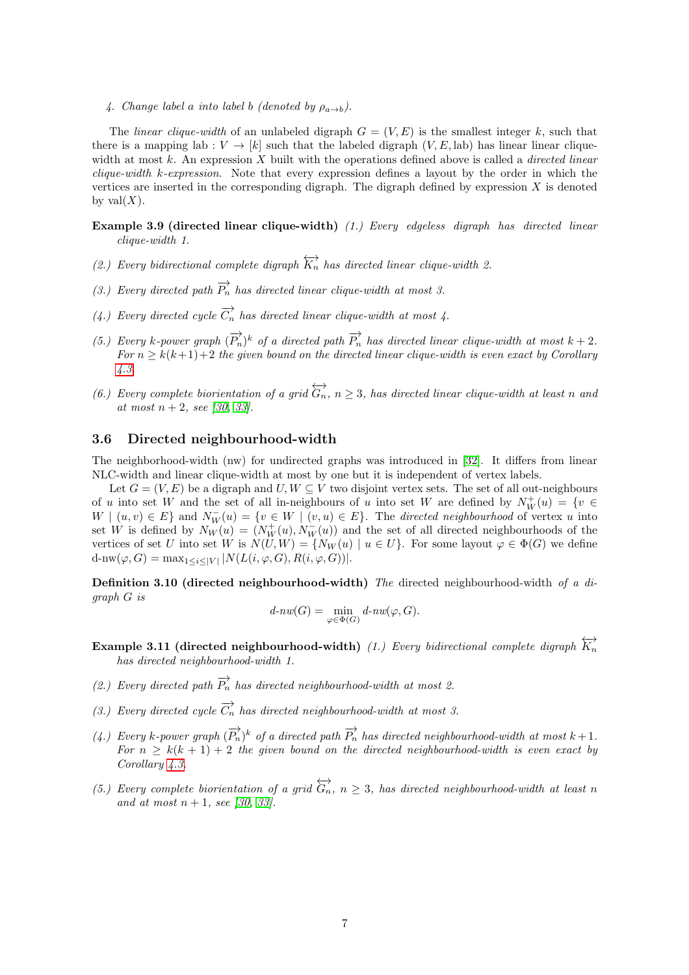4. Change label a *into label* b *(denoted by*  $\rho_{a\rightarrow b}$ ).

The *linear clique-width* of an unlabeled digraph  $G = (V, E)$  is the smallest integer k, such that there is a mapping lab :  $V \rightarrow [k]$  such that the labeled digraph  $(V, E,$ lab) has linear linear cliquewidth at most k. An expression X built with the operations defined above is called a *directed linear clique-width* k*-expression*. Note that every expression defines a layout by the order in which the vertices are inserted in the corresponding digraph. The digraph defined by expression  $X$  is denoted by val $(X)$ .

- <span id="page-6-0"></span>Example 3.9 (directed linear clique-width) *(1.) Every edgeless digraph has directed linear clique-width 1.*
- *(2.) Every bidirectional complete digraph*  $\overleftrightarrow{K_n}$  *has directed linear clique-width 2.*
- *(3.) Every directed path*  $\overrightarrow{P_n}$  *has directed linear clique-width at most 3.*
- *(4.) Every directed cycle*  $\overrightarrow{C_n}$  *has directed linear clique-width at most 4.*
- (5.) Every k-power graph  $(\overrightarrow{P_n})^k$  of a directed path  $\overrightarrow{P_n}$  has directed linear clique-width at most  $k + 2$ .  $For n \geq k(k+1)+2$  *the given bound on the directed linear clique-width is even exact by Corollary [4.3.](#page-9-0)*
- *(6.) Every complete biorientation of a grid*  $\overleftrightarrow{G_n}$ ,  $n \geq 3$ , has directed linear clique-width at least n and *at most* n + 2*, see [\[30,](#page-20-13) [33\]](#page-20-14).*

## 3.6 Directed neighbourhood-width

The neighborhood-width (nw) for undirected graphs was introduced in [\[32\]](#page-20-3). It differs from linear NLC-width and linear clique-width at most by one but it is independent of vertex labels.

Let  $G = (V, E)$  be a digraph and  $U, W \subseteq V$  two disjoint vertex sets. The set of all out-neighbours of u into set W and the set of all in-neighbours of u into set W are defined by  $N_W^+(u) = \{v \in$  $W | (u, v) \in E$  and  $N_W^-(u) = \{v \in W | (v, u) \in E\}$ . The *directed neighbourhood* of vertex u into set W is defined by  $N_W(u) = (N_W^+(u), N_W^-(u))$  and the set of all directed neighbourhoods of the vertices of set U into set W is  $N(U, W) = \{N_W(u) \mid u \in U\}$ . For some layout  $\varphi \in \Phi(G)$  we define  $d\text{-}nw(\varphi, G) = \max_{1 \leq i \leq |V|} |N(L(i, \varphi, G), R(i, \varphi, G))|.$ 

Definition 3.10 (directed neighbourhood-width) *The* directed neighbourhood-width *of a digraph* G *is*

$$
d\text{-}nw(G)=\min_{\varphi\in\Phi(G)}d\text{-}nw(\varphi,G).
$$

- <span id="page-6-1"></span>Example 3.11 (directed neighbourhood-width) (1.) Every bidirectional complete digraph  $\overleftrightarrow{K_n}$ *has directed neighbourhood-width 1.*
- *(2.) Every directed path*  $\overrightarrow{P_n}$  *has directed neighbourhood-width at most 2.*
- *(3.) Every directed cycle*  $\overrightarrow{C_n}$  *has directed neighbourhood-width at most 3.*
- (4.) Every k-power graph  $(\overrightarrow{P_n})^k$  of a directed path  $\overrightarrow{P_n}$  has directed neighbourhood-width at most  $k+1$ . *For*  $n \geq k(k+1) + 2$  *the given bound on the directed neighbourhood-width is even exact by Corollary [4.3.](#page-9-0)*
- *(5.) Every complete biorientation of a grid*  $\overleftrightarrow{G_n}$ ,  $n \geq 3$ , has directed neighbourhood-width at least n *and at most*  $n + 1$ *, see* [\[30,](#page-20-13) [33\]](#page-20-14)*.*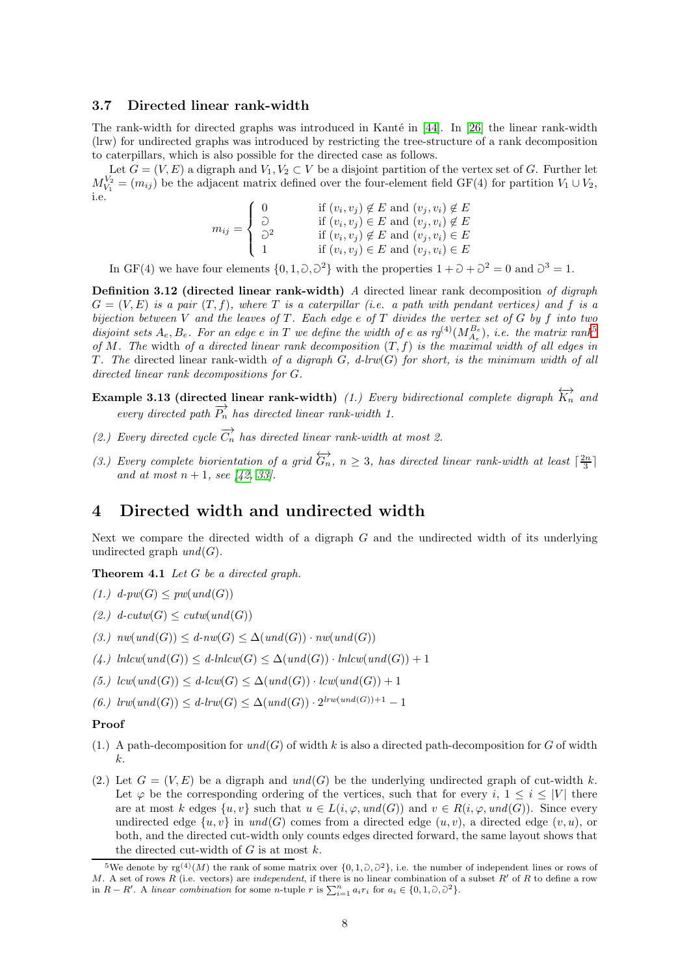#### 3.7 Directed linear rank-width

The rank-width for directed graphs was introduced in Kanté in  $[44]$ . In [\[26\]](#page-20-4) the linear rank-width (lrw) for undirected graphs was introduced by restricting the tree-structure of a rank decomposition to caterpillars, which is also possible for the directed case as follows.

Let  $G = (V, E)$  a digraph and  $V_1, V_2 \subset V$  be a disjoint partition of the vertex set of G. Further let  $M_{V_1}^{V_2} = (m_{ij})$  be the adjacent matrix defined over the four-element field GF(4) for partition  $V_1 \cup V_2$ , i.e.

$$
m_{ij} = \begin{cases} 0 & \text{if } (v_i, v_j) \notin E \text{ and } (v_j, v_i) \notin E \\ \supset \\ 0 & \text{if } (v_i, v_j) \in E \text{ and } (v_j, v_i) \notin E \\ 1 & \text{if } (v_i, v_j) \in E \text{ and } (v_j, v_i) \in E \\ 1 & \text{if } (v_i, v_j) \in E \text{ and } (v_j, v_i) \in E \end{cases}
$$

In GF(4) we have four elements  $\{0, 1, \partial, \partial^2\}$  with the properties  $1 + \partial + \partial^2 = 0$  and  $\partial^3 = 1$ .

Definition 3.12 (directed linear rank-width) *A* directed linear rank decomposition *of digraph*  $G = (V, E)$  *is a pair*  $(T, f)$ *, where* T *is a caterpillar (i.e. a path with pendant vertices) and* f *is a bijection between* V *and the leaves of* T *. Each edge* e *of* T *divides the vertex set of* G *by* f *into two disjoint sets*  $A_e$ ,  $B_e$ . For an edge  $e$  in T we define the width of  $e$  as  $r g^{(4)}(M_{A_e}^{B_e})$ , i.e. the matrix rank<sup>[5](#page-7-0)</sup> *of* M*. The* width *of a directed linear rank decomposition* (T, f) *is the maximal width of all edges in* T. The directed linear rank-width of a digraph  $G$ , d-lrw $(G)$  for short, is the minimum width of all *directed linear rank decompositions for* G*.*

- $\textbf{Example 3.13 (directed linear rank-width)} (1.)$  Every bidirectional complete digraph  $\overleftrightarrow{K_n}$  and *every directed path*  $\overrightarrow{P_n}$  *has directed linear rank-width 1.*
- *(2.) Every directed cycle*  $\overrightarrow{C_n}$  *has directed linear rank-width at most 2.*
- (3.) Every complete biorientation of a grid  $\overleftrightarrow{G_n}$ ,  $n \geq 3$ , has directed linear rank-width at least  $\lceil \frac{2n}{3} \rceil$ *and at most*  $n + 1$ *, see* [42*,* [33\]](#page-20-14)*.*

## 4 Directed width and undirected width

<span id="page-7-2"></span>Next we compare the directed width of a digraph  $G$  and the undirected width of its underlying undirected graph  $und(G)$ .

<span id="page-7-3"></span>Theorem 4.1 *Let* G *be a directed graph.*

<span id="page-7-4"></span> $(1.)$   $d$ -pw $(G)$   $\leq$  pw $(und(G))$ 

- <span id="page-7-1"></span> $(2.) \ d\text{-}cutw(G) \leq cutw(\text{und}(G))$
- <span id="page-7-5"></span> $(3.)$   $nw(und(G)) \leq d\text{-}nw(G) \leq \Delta(und(G)) \cdot nw(und(G))$
- <span id="page-7-6"></span> $(4.)$   $hlcw(und(G)) \leq d\text{-}hlcw(G) \leq \Delta(und(G)) \cdot hlcw(und(G)) + 1$
- <span id="page-7-7"></span>*(5.)*  $lcw(und(G)) ≤ d-lcw(G) ≤ ∆(und(G)) \cdot lcw(und(G)) + 1$
- $(6.)$   $lrw(und(G)) \leq d\text{-}lrw(G) \leq \Delta(und(G)) \cdot 2^{lrw(und(G))+1} 1$

#### Proof

- $(1.)$  A path-decomposition for  $und(G)$  of width k is also a directed path-decomposition for G of width  $k<sub>i</sub>$ .
- (2.) Let  $G = (V, E)$  be a digraph and  $und(G)$  be the underlying undirected graph of cut-width k. Let  $\varphi$  be the corresponding ordering of the vertices, such that for every i,  $1 \leq i \leq |V|$  there are at most k edges  $\{u, v\}$  such that  $u \in L(i, \varphi, und(G))$  and  $v \in R(i, \varphi, und(G))$ . Since every undirected edge  $\{u, v\}$  in  $\text{und}(G)$  comes from a directed edge  $(u, v)$ , a directed edge  $(v, u)$ , or both, and the directed cut-width only counts edges directed forward, the same layout shows that the directed cut-width of  $G$  is at most  $k$ .

<span id="page-7-0"></span><sup>&</sup>lt;sup>5</sup>We denote by  $\text{rg}^{(4)}(M)$  the rank of some matrix over  $\{0,1,\partial,\partial^2\}$ , i.e. the number of independent lines or rows of M. A set of rows R (i.e. vectors) are independent, if there is no linear combination of a subset R' of R to define a row in  $R - R'$ . A linear combination for some n-tuple r is  $\sum_{i=1}^{n} a_i r_i$  for  $a_i \in \{0, 1, 0, 0^2\}$ .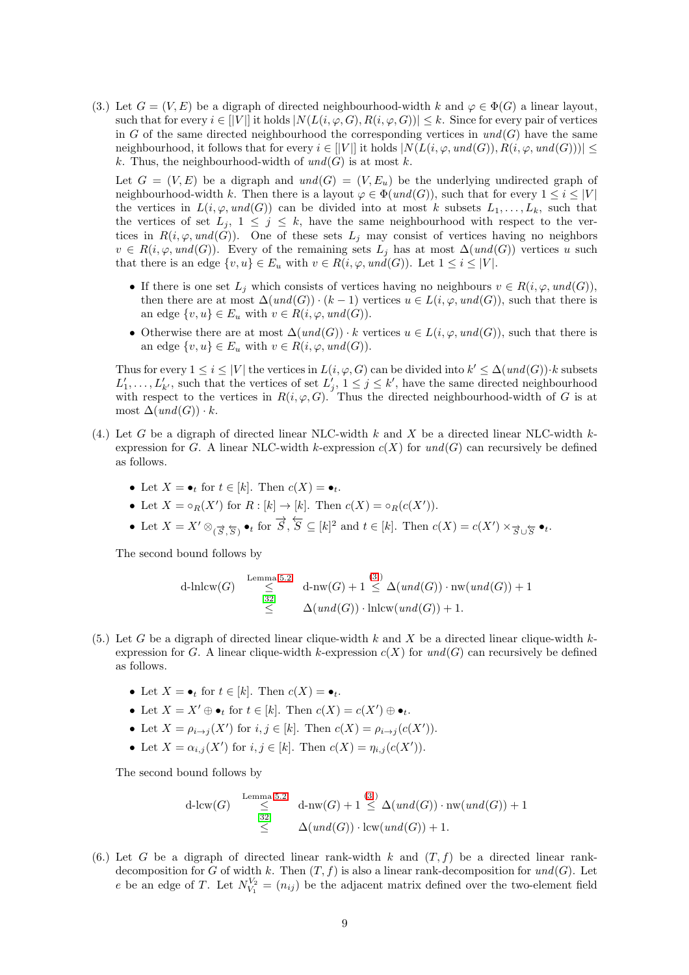(3.) Let  $G = (V, E)$  be a digraph of directed neighbourhood-width k and  $\varphi \in \Phi(G)$  a linear layout, such that for every  $i \in [|V|]$  it holds  $|N(L(i, \varphi, G), R(i, \varphi, G))| \leq k$ . Since for every pair of vertices in G of the same directed neighbourhood the corresponding vertices in  $und(G)$  have the same neighbourhood, it follows that for every  $i \in [|V|]$  it holds  $|N(L(i, \varphi, und(G)), R(i, \varphi, und(G)))| \leq$ k. Thus, the neighbourhood-width of  $und(G)$  is at most k.

Let  $G = (V, E)$  be a digraph and  $und(G) = (V, E_u)$  be the underlying undirected graph of neighbourhood-width k. Then there is a layout  $\varphi \in \Phi(und(G))$ , such that for every  $1 \leq i \leq |V|$ the vertices in  $L(i, \varphi, und(G))$  can be divided into at most k subsets  $L_1, \ldots, L_k$ , such that the vertices of set  $L_j$ ,  $1 \leq j \leq k$ , have the same neighbourhood with respect to the vertices in  $R(i, \varphi, und(G))$ . One of these sets  $L_i$  may consist of vertices having no neighbors  $v \in R(i, \varphi, und(G)).$  Every of the remaining sets  $L_j$  has at most  $\Delta(und(G))$  vertices u such that there is an edge  $\{v, u\} \in E_u$  with  $v \in R(i, \varphi, und(G))$ . Let  $1 \leq i \leq |V|$ .

- If there is one set  $L_j$  which consists of vertices having no neighbours  $v \in R(i, \varphi, und(G)),$ then there are at most  $\Delta(und(G)) \cdot (k-1)$  vertices  $u \in L(i, \varphi, und(G))$ , such that there is an edge  $\{v, u\} \in E_u$  with  $v \in R(i, \varphi, und(G)).$
- Otherwise there are at most  $\Delta(und(G)) \cdot k$  vertices  $u \in L(i, \varphi, und(G))$ , such that there is an edge  $\{v, u\} \in E_u$  with  $v \in R(i, \varphi, und(G)).$

Thus for every  $1 \leq i \leq |V|$  the vertices in  $L(i, \varphi, G)$  can be divided into  $k' \leq \Delta(und(G)) \cdot k$  subsets  $L'_1, \ldots, L'_{k'}$ , such that the vertices of set  $L'_j$ ,  $1 \leq j \leq k'$ , have the same directed neighbourhood with respect to the vertices in  $R(i, \varphi, G)$ . Thus the directed neighbourhood-width of G is at most  $\Delta(und(G)) \cdot k$ .

- (4.) Let G be a digraph of directed linear NLC-width k and X be a directed linear NLC-width  $k$ expression for G. A linear NLC-width k-expression  $c(X)$  for  $und(G)$  can recursively be defined as follows.
	- Let  $X = \bullet_t$  for  $t \in [k]$ . Then  $c(X) = \bullet_t$ .
	- Let  $X = \circ_R(X')$  for  $R : [k] \to [k]$ . Then  $c(X) = \circ_R(c(X'))$ .

• Let  $X = X' \otimes_{(\overrightarrow{S}, \overleftarrow{S})} \bullet_t$  for  $\overrightarrow{S}, \overleftarrow{S} \subseteq [k]^2$  and  $t \in [k]$ . Then  $c(X) = c(X') \times_{\overrightarrow{S} \cup \overleftarrow{S}} \bullet_t$ .

The second bound follows by

d-
$$
\mathrm{lnlcw}(G)
$$
  $\leq$   $\leq$   $\mathrm{d-nw}(G) + 1 \leq \Delta(und(G)) \cdot \mathrm{nw}(und(G)) + 1$   
\n $\leq$   $\Delta(und(G)) \cdot \mathrm{lnlcw}(und(G)) + 1.$ 

- (5.) Let G be a digraph of directed linear clique-width k and X be a directed linear clique-width  $k$ expression for G. A linear clique-width k-expression  $c(X)$  for  $und(G)$  can recursively be defined as follows.
	- Let  $X = \bullet_t$  for  $t \in [k]$ . Then  $c(X) = \bullet_t$ .
	- Let  $X = X' \oplus \bullet_t$  for  $t \in [k]$ . Then  $c(X) = c(X') \oplus \bullet_t$ .
	- Let  $X = \rho_{i \to j}(X')$  for  $i, j \in [k]$ . Then  $c(X) = \rho_{i \to j}(c(X'))$ .
	- Let  $X = \alpha_{i,j}(X')$  for  $i, j \in [k]$ . Then  $c(X) = \eta_{i,j}(c(X'))$ .

The second bound follows by

$$
\begin{array}{ll}\n\text{d-lcw}(G) & \xrightarrow{\text{Lemma 5.2}} \\
& \leq \quad \text{d-nw}(G) + 1 \leq \Delta(\operatorname{und}(G)) \cdot \operatorname{nw}(\operatorname{und}(G)) + 1 \\
& \leq \quad \Delta(\operatorname{und}(G)) \cdot \operatorname{lcw}(\operatorname{und}(G)) + 1.\n\end{array}
$$

(6.) Let G be a digraph of directed linear rank-width k and  $(T, f)$  be a directed linear rankdecomposition for G of width k. Then  $(T, f)$  is also a linear rank-decomposition for  $und(G)$ . Let e be an edge of T. Let  $N_{V_1}^{V_2} = (n_{ij})$  be the adjacent matrix defined over the two-element field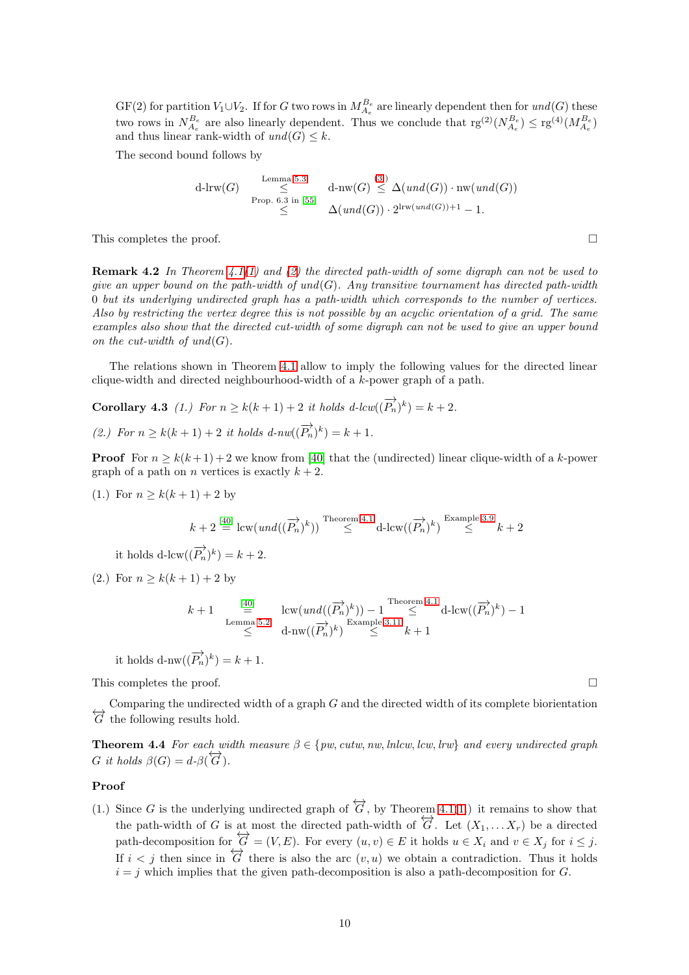$GF(2)$  for partition  $V_1 \cup V_2$ . If for G two rows in  $M_{A_e}^{B_e}$  are linearly dependent then for  $und(G)$  these two rows in  $N_{A_e}^{B_e}$  are also linearly dependent. Thus we conclude that  $\text{rg}^{(2)}(N_{A_e}^{B_e}) \leq \text{rg}^{(4)}(M_{A_e}^{B_e})$ and thus linear rank-width of  $und(G) \leq k$ .

The second bound follows by

$$
\begin{array}{ll}\n\text{d-lrw}(G) & \xrightarrow{\text{Lemma 5.3}} & \text{d-nw}(G) \xrightarrow{\text{(3.)}} & \Delta(\text{und}(G)) \cdot \text{nw}(\text{und}(G)) \\
& \text{Prop. 6.3 in [55]} & \Delta(\text{und}(G)) \cdot 2^{\text{lrw}(\text{und}(G)) + 1} - 1.\n\end{array}
$$

<span id="page-9-2"></span>This completes the proof.  $\square$ 

Remark 4.2 *In Theorem [4.1](#page-7-2)[\(1\)](#page-7-3) and [\(2\)](#page-7-4) the directed path-width of some digraph can not be used to give an upper bound on the path-width of und*(G)*. Any transitive tournament has directed path-width* 0 *but its underlying undirected graph has a path-width which corresponds to the number of vertices. Also by restricting the vertex degree this is not possible by an acyclic orientation of a grid. The same examples also show that the directed cut-width of some digraph can not be used to give an upper bound on the cut-width of und* $(G)$ *.* 

<span id="page-9-0"></span>The relations shown in Theorem [4.1](#page-7-2) allow to imply the following values for the directed linear clique-width and directed neighbourhood-width of a k-power graph of a path.

**Corollary 4.3** (1.) For  $n \ge k(k+1) + 2$  it holds  $d$ -lcw $((\overrightarrow{P_n})^k) = k + 2$ . *(2.)* For  $n \geq k(k+1) + 2$  *it holds*  $d\text{-}n w((\overrightarrow{P_n})^k) = k+1$ .

**Proof** For  $n \geq k(k+1)+2$  we know from [\[40\]](#page-21-16) that the (undirected) linear clique-width of a k-power graph of a path on *n* vertices is exactly  $k + 2$ .

(1.) For  $n > k(k+1) + 2$  by

$$
k+2 \stackrel{\text{[40]}}{=} \text{lcw}(\text{und}((\overrightarrow{P_n})^k)) \stackrel{\text{Theorem 4.1}}{\leq} \text{d-lcw}((\overrightarrow{P_n})^k) \stackrel{\text{Example 3.9}}{\leq} k+2
$$

it holds d-lcw $((\overrightarrow{P_n})^k) = k + 2$ .

(2.) For  $n > k(k+1) + 2$  by

$$
\begin{array}{ccccc} k+1 & \stackrel{[40]}{\equiv}& \operatorname{lcw}(\operatorname{und}((\overrightarrow{P_n})^k))-1 & \stackrel{\text{Theorem 4.1}}{\le} \operatorname{d-lcw}((\overrightarrow{P_n})^k)-1 \\ & \stackrel{\text{Lemma 5.2}}{\le} & \operatorname{d-nw}((\overrightarrow{P_n})^k) & \stackrel{\text{Example 3.11}}{\le} k+1 \end{array}
$$

it holds  $\text{d-nw}((\overrightarrow{P_n})^k) = k+1.$ 

This completes the proof.

Comparing the undirected width of a graph G and the directed width of its complete biorientation  $\overleftrightarrow{G}$  the following results hold.

<span id="page-9-1"></span>**Theorem 4.4** *For each width measure*  $\beta \in \{pw, cutw, nw, lnlcw, lcw, lrw\}$  *and every undirected graph* G it holds  $\beta(G) = d \cdot \beta(\overleftrightarrow{G})$ .

#### Proof

[\(1.](#page-7-3)) Since G is the underlying undirected graph of  $\overleftrightarrow{G}$ , by Theorem [4.1](#page-7-2)(1.) it remains to show that the path-width of G is at most the directed path-width of  $\overleftrightarrow{G}$ . Let  $(X_1, \ldots, X_r)$  be a directed path-decomposition for  $\overleftrightarrow{G} = (V, E)$ . For every  $(u, v) \in E$  it holds  $u \in X_i$  and  $v \in X_j$  for  $i \leq j$ . If  $i < j$  then since in  $\overleftrightarrow{G}$  there is also the arc  $(v, u)$  we obtain a contradiction. Thus it holds  $i = j$  which implies that the given path-decomposition is also a path-decomposition for G.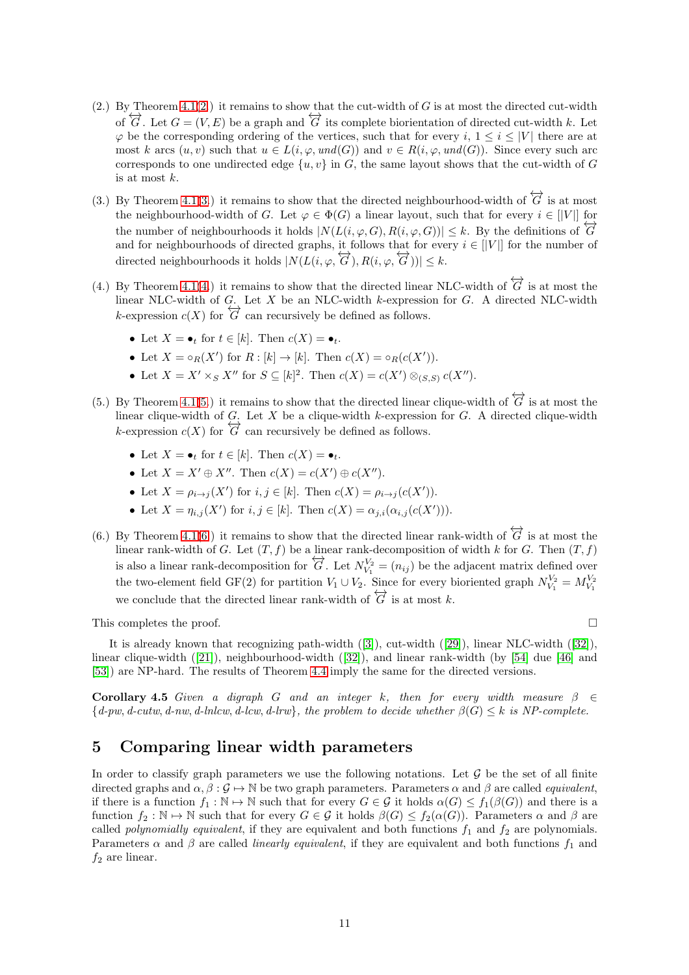- $(2.)$  $(2.)$  By Theorem  $4.1(2.)$  it remains to show that the cut-width of G is at most the directed cut-width of  $\overleftrightarrow{G}$ . Let  $G = (V, E)$  be a graph and  $\overleftrightarrow{G}$  its complete biorientation of directed cut-width k. Let  $\varphi$  be the corresponding ordering of the vertices, such that for every i,  $1 \le i \le |V|$  there are at most k arcs  $(u, v)$  such that  $u \in L(i, \varphi, und(G))$  and  $v \in R(i, \varphi, und(G))$ . Since every such arc corresponds to one undirected edge  $\{u, v\}$  in G, the same layout shows that the cut-width of G is at most k.
- (3.) By Theorem [4.1\(](#page-7-2)[3.](#page-7-1)) it remains to show that the directed neighbourhood-width of  $\overleftrightarrow{G}$  is at most the neighbourhood-width of G. Let  $\varphi \in \Phi(G)$  a linear layout, such that for every  $i \in ||V||$  for the number of neighbourhoods it holds  $|N(L(i, \varphi, G), R(i, \varphi, G))| \leq k$ . By the definitions of  $\overline{G}$ and for neighbourhoods of directed graphs, it follows that for every  $i \in ||V||$  for the number of directed neighbourhoods it holds  $|N(L(i, \varphi, \overleftrightarrow{G}), R(i, \varphi, \overleftrightarrow{G}))| \leq k$ .
- (4.) By Theorem [4.1\(](#page-7-2)[4.](#page-7-5)) it remains to show that the directed linear NLC-width of  $\overleftrightarrow{G}$  is at most the linear NLC-width of G. Let X be an NLC-width k-expression for G. A directed NLC-width k-expression  $c(X)$  for  $\overleftrightarrow{G}$  can recursively be defined as follows.
	- Let  $X = \bullet_t$  for  $t \in [k]$ . Then  $c(X) = \bullet_t$ .
	- Let  $X = \circ_R(X')$  for  $R : [k] \to [k]$ . Then  $c(X) = \circ_R(c(X'))$ .
	- Let  $X = X' \times_S X''$  for  $S \subseteq [k]^2$ . Then  $c(X) = c(X') \otimes_{(S,S)} c(X'')$ .
- (5.) By Theorem [4.1](#page-7-2)[\(5.](#page-7-6)) it remains to show that the directed linear clique-width of  $\overleftrightarrow{G}$  is at most the linear clique-width of  $G$ . Let X be a clique-width k-expression for G. A directed clique-width k-expression  $c(X)$  for  $G'$  can recursively be defined as follows.
	- Let  $X = \bullet_t$  for  $t \in [k]$ . Then  $c(X) = \bullet_t$ .
	- Let  $X = X' \oplus X''$ . Then  $c(X) = c(X') \oplus c(X'')$ .
	- Let  $X = \rho_{i \to j}(X')$  for  $i, j \in [k]$ . Then  $c(X) = \rho_{i \to j}(c(X'))$ .
	- Let  $X = \eta_{i,j}(X')$  for  $i, j \in [k]$ . Then  $c(X) = \alpha_{j,i}(\alpha_{i,j}(c(X')))$ .
- (6.) By Theorem [4.1](#page-7-2)[\(6.](#page-7-7)) it remains to show that the directed linear rank-width of  $\overleftrightarrow{G}$  is at most the linear rank-width of G. Let  $(T, f)$  be a linear rank-decomposition of width k for G. Then  $(T, f)$ is also a linear rank-decomposition for  $G$ . Let  $N_{V_1}^{V_2} = (n_{ij})$  be the adjacent matrix defined over the two-element field GF(2) for partition  $V_1 \cup V_2$ . Since for every bioriented graph  $N_{V_1}^{V_2} = M_{V_1}^{V_2}$ we conclude that the directed linear rank-width of  $\overleftrightarrow{G}$  is at most k.

This completes the proof.  $\Box$ 

It is already known that recognizing path-width ([\[3\]](#page-19-13)), cut-width ([\[29\]](#page-20-15)), linear NLC-width ([\[32\]](#page-20-3)), linear clique-width ([\[21\]](#page-20-5)), neighbourhood-width ([\[32\]](#page-20-3)), and linear rank-width (by [\[54\]](#page-21-17) due [\[46\]](#page-21-18) and [\[53\]](#page-21-19)) are NP-hard. The results of Theorem [4.4](#page-9-1) imply the same for the directed versions.

<span id="page-10-0"></span>Corollary 4.5 *Given a digraph G and an integer* k, then for every width measure  $\beta \in$  ${d-pw, d-cutw, d-nw, d-hlcw, d-lcw, d-lrw}$ , the problem to decide whether  $\beta(G) \leq k$  is NP-complete.

## 5 Comparing linear width parameters

In order to classify graph parameters we use the following notations. Let  $\mathcal G$  be the set of all finite directed graphs and  $\alpha, \beta : \mathcal{G} \to \mathbb{N}$  be two graph parameters. Parameters  $\alpha$  and  $\beta$  are called *equivalent*, if there is a function  $f_1 : \mathbb{N} \to \mathbb{N}$  such that for every  $G \in \mathcal{G}$  it holds  $\alpha(G) \le f_1(\beta(G))$  and there is a function  $f_2 : \mathbb{N} \to \mathbb{N}$  such that for every  $G \in \mathcal{G}$  it holds  $\beta(G) \leq f_2(\alpha(G))$ . Parameters  $\alpha$  and  $\beta$  are called *polynomially equivalent*, if they are equivalent and both functions  $f_1$  and  $f_2$  are polynomials. Parameters  $\alpha$  and  $\beta$  are called *linearly equivalent*, if they are equivalent and both functions  $f_1$  and  $f_2$  are linear.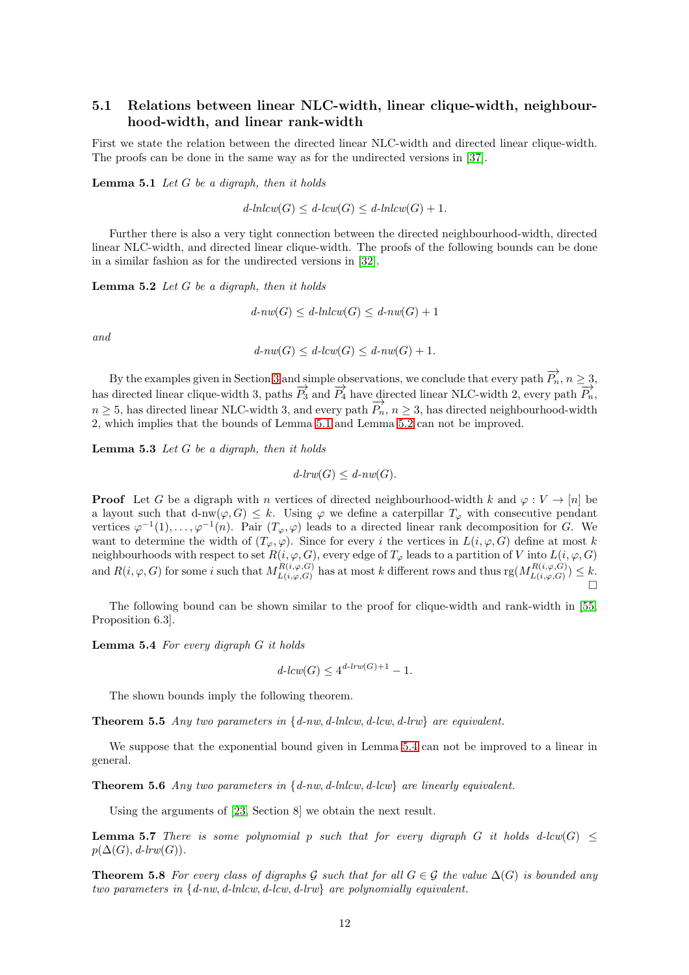## 5.1 Relations between linear NLC-width, linear clique-width, neighbourhood-width, and linear rank-width

<span id="page-11-2"></span>First we state the relation between the directed linear NLC-width and directed linear clique-width. The proofs can be done in the same way as for the undirected versions in [\[37\]](#page-20-2).

Lemma 5.1 *Let* G *be a digraph, then it holds*

$$
d\text{-}lnlcw(G) \leq d\text{-}lcw(G) \leq d\text{-}lnlcw(G) + 1.
$$

Further there is also a very tight connection between the directed neighbourhood-width, directed linear NLC-width, and directed linear clique-width. The proofs of the following bounds can be done in a similar fashion as for the undirected versions in [\[32\]](#page-20-3).

<span id="page-11-0"></span>Lemma 5.2 *Let* G *be a digraph, then it holds*

$$
d\text{-}nw(G) \leq d\text{-}lnlcw(G) \leq d\text{-}nw(G) + 1
$$

*and*

$$
d\text{-}nw(G) \leq d\text{-}lcw(G) \leq d\text{-}nw(G) + 1.
$$

By the examples given in Section [3](#page-3-1) and simple observations, we conclude that every path  $\overrightarrow{P_n}$ ,  $n \geq 3$ , has directed linear clique-width 3, paths  $\overrightarrow{P_3}$  and  $\overrightarrow{P_4}$  have directed linear NLC-width 2, every path  $\overrightarrow{P_n}$ ,  $n \geq 5$ , has directed linear NLC-width 3, and every path  $\overrightarrow{P_n}$ ,  $n \geq 3$ , has directed neighbourhood-width 2, which implies that the bounds of Lemma [5.1](#page-11-2) and Lemma [5.2](#page-11-0) can not be improved.

<span id="page-11-1"></span>Lemma 5.3 *Let* G *be a digraph, then it holds*

 $d$ -lrw $(G) \leq d$ -nw $(G)$ .

**Proof** Let G be a digraph with n vertices of directed neighbourhood-width k and  $\varphi: V \to [n]$  be a layout such that d-nw $(\varphi, G) \leq k$ . Using  $\varphi$  we define a caterpillar  $T_{\varphi}$  with consecutive pendant vertices  $\varphi^{-1}(1), \ldots, \varphi^{-1}(n)$ . Pair  $(T_{\varphi}, \varphi)$  leads to a directed linear rank decomposition for G. We want to determine the width of  $(T_{\varphi}, \varphi)$ . Since for every i the vertices in  $L(i, \varphi, G)$  define at most k neighbourhoods with respect to set  $R(i, \varphi, G)$ , every edge of  $T_{\varphi}$  leads to a partition of V into  $L(i, \varphi, G)$ and  $R(i, \varphi, G)$  for some i such that  $M_{L(i, \varphi, G)}^{R(i, \varphi, G)}$  $L(i, \varphi, G)$  has at most k different rows and thus  $rg(M_{L(i, \varphi, G)}^{R(i, \varphi, G)})$  $L(i, \varphi, G) \leq k.$  $\Box$ 

<span id="page-11-3"></span>The following bound can be shown similar to the proof for clique-width and rank-width in [\[55,](#page-21-1) Proposition 6.3].

Lemma 5.4 *For every digraph* G *it holds*

$$
d\text{-}lcw(G) \le 4^{d\text{-}lrw(G)+1} - 1.
$$

The shown bounds imply the following theorem.

Theorem 5.5 *Any two parameters in* {*d-nw*, *d-lnlcw*, *d-lcw*, *d-lrw*} *are equivalent.*

We suppose that the exponential bound given in Lemma [5.4](#page-11-3) can not be improved to a linear in general.

Theorem 5.6 *Any two parameters in* {*d-nw*, *d-lnlcw*, *d-lcw*} *are linearly equivalent.*

<span id="page-11-4"></span>Using the arguments of [\[23,](#page-20-16) Section 8] we obtain the next result.

**Lemma 5.7** *There is some polynomial p such that for every digraph G it holds d-lcw*( $G$ )  $\leq$  $p(\Delta(G), d\text{-}lrw(G)).$ 

**Theorem 5.8** For every class of digraphs G such that for all  $G \in \mathcal{G}$  the value  $\Delta(G)$  is bounded any *two parameters in* {*d-nw*, *d-lnlcw*, *d-lcw*, *d-lrw*} *are polynomially equivalent.*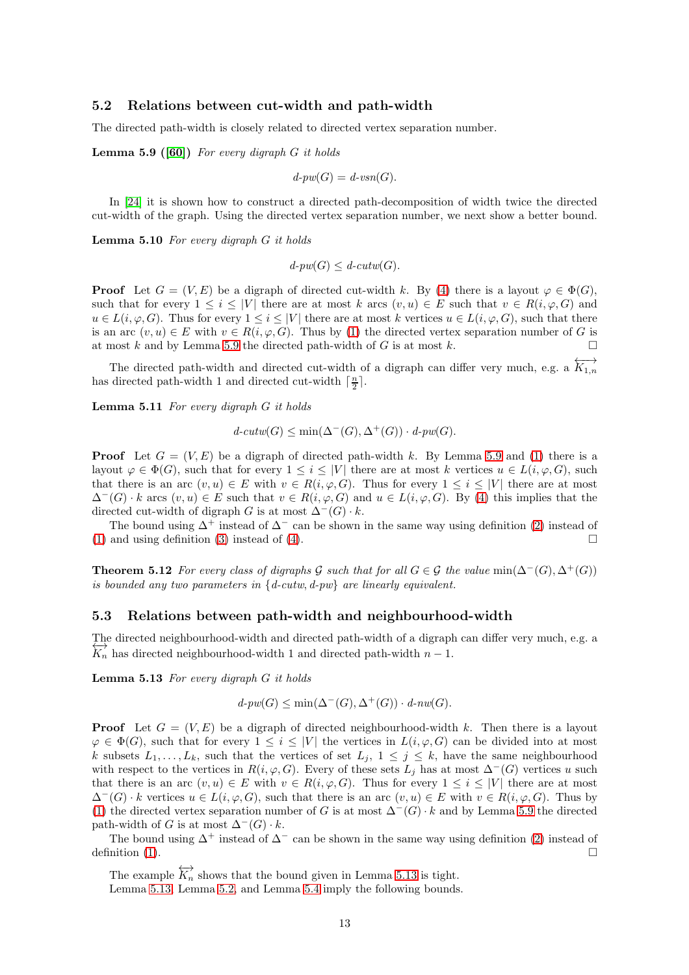#### 5.2 Relations between cut-width and path-width

<span id="page-12-0"></span>The directed path-width is closely related to directed vertex separation number.

Lemma 5.9 ([\[60\]](#page-22-2)) *For every digraph* G *it holds*

$$
d\text{-}pw(G) = d\text{-}vsn(G).
$$

<span id="page-12-3"></span>In [\[24\]](#page-20-17) it is shown how to construct a directed path-decomposition of width twice the directed cut-width of the graph. Using the directed vertex separation number, we next show a better bound.

Lemma 5.10 *For every digraph* G *it holds*

 $d$ -pw $(G) \leq d$ -cutw $(G)$ .

**Proof** Let  $G = (V, E)$  be a digraph of directed cut-width k. By [\(4\)](#page-4-2) there is a layout  $\varphi \in \Phi(G)$ , such that for every  $1 \leq i \leq |V|$  there are at most k arcs  $(v, u) \in E$  such that  $v \in R(i, \varphi, G)$  and  $u \in L(i, \varphi, G)$ . Thus for every  $1 \leq i \leq |V|$  there are at most k vertices  $u \in L(i, \varphi, G)$ , such that there is an arc  $(v, u) \in E$  with  $v \in R(i, \varphi, G)$ . Thus by [\(1\)](#page-4-3) the directed vertex separation number of G is at most k and by Lemma [5.9](#page-12-0) the directed path-width of G is at most k.

The directed path-width and directed cut-width of a digraph can differ very much, e.g. a  $\overleftrightarrow{K_{1,n}}$ has directed path-width 1 and directed cut-width  $\lceil \frac{n}{2} \rceil$ .

Lemma 5.11 *For every digraph* G *it holds*

$$
d\text{-}cutw(G) \le \min(\Delta^-(G), \Delta^+(G)) \cdot d\text{-}pw(G).
$$

**Proof** Let  $G = (V, E)$  be a digraph of directed path-width k. By Lemma [5.9](#page-12-0) and [\(1\)](#page-4-3) there is a layout  $\varphi \in \Phi(G)$ , such that for every  $1 \leq i \leq |V|$  there are at most k vertices  $u \in L(i, \varphi, G)$ , such that there is an arc  $(v, u) \in E$  with  $v \in R(i, \varphi, G)$ . Thus for every  $1 \leq i \leq |V|$  there are at most  $\Delta^-(G) \cdot k$  arcs  $(v, u) \in E$  such that  $v \in R(i, \varphi, G)$  and  $u \in L(i, \varphi, G)$ . By [\(4\)](#page-4-2) this implies that the directed cut-width of digraph G is at most  $\Delta^{-}(G) \cdot k$ .

The bound using  $\Delta^+$  instead of  $\Delta^-$  can be shown in the same way using definition [\(2\)](#page-4-4) instead of [\(1\)](#page-4-3) and using definition [\(3\)](#page-4-5) instead of [\(4\)](#page-4-2).

**Theorem 5.12** *For every class of digraphs* G *such that for all*  $G \in \mathcal{G}$  *the value* min( $\Delta^{-}(G), \Delta^{+}(G)$ ) *is bounded any two parameters in* {*d-cutw*, *d-pw*} *are linearly equivalent.*

#### 5.3 Relations between path-width and neighbourhood-width

<span id="page-12-1"></span>The directed neighbourhood-width and directed path-width of a digraph can differ very much, e.g. a  $\overleftrightarrow{K_n}$  has directed neighbourhood-width 1 and directed path-width  $n-1$ .

Lemma 5.13 *For every digraph* G *it holds*

$$
d\text{-}pw(G) \le \min(\Delta^-(G), \Delta^+(G)) \cdot d\text{-}nw(G).
$$

**Proof** Let  $G = (V, E)$  be a digraph of directed neighbourhood-width k. Then there is a layout  $\varphi \in \Phi(G)$ , such that for every  $1 \leq i \leq |V|$  the vertices in  $L(i, \varphi, G)$  can be divided into at most k subsets  $L_1, \ldots, L_k$ , such that the vertices of set  $L_j$ ,  $1 \leq j \leq k$ , have the same neighbourhood with respect to the vertices in  $R(i, \varphi, G)$ . Every of these sets  $L_j$  has at most  $\Delta^-(G)$  vertices u such that there is an arc  $(v, u) \in E$  with  $v \in R(i, \varphi, G)$ . Thus for every  $1 \leq i \leq |V|$  there are at most  $\Delta^{-}(G) \cdot k$  vertices  $u \in L(i, \varphi, G)$ , such that there is an arc  $(v, u) \in E$  with  $v \in R(i, \varphi, G)$ . Thus by [\(1\)](#page-4-3) the directed vertex separation number of G is at most  $\Delta^{-}(G) \cdot k$  and by Lemma [5.9](#page-12-0) the directed path-width of G is at most  $\Delta^{-}(G) \cdot k$ .

The bound using  $\Delta^+$  instead of  $\Delta^-$  can be shown in the same way using definition [\(2\)](#page-4-4) instead of definition [\(1\)](#page-4-3).  $\Box$ 

<span id="page-12-2"></span>The example  $\overleftrightarrow{K_n}$  shows that the bound given in Lemma [5.13](#page-12-1) is tight. Lemma [5.13,](#page-12-1) Lemma [5.2,](#page-11-0) and Lemma [5.4](#page-11-3) imply the following bounds.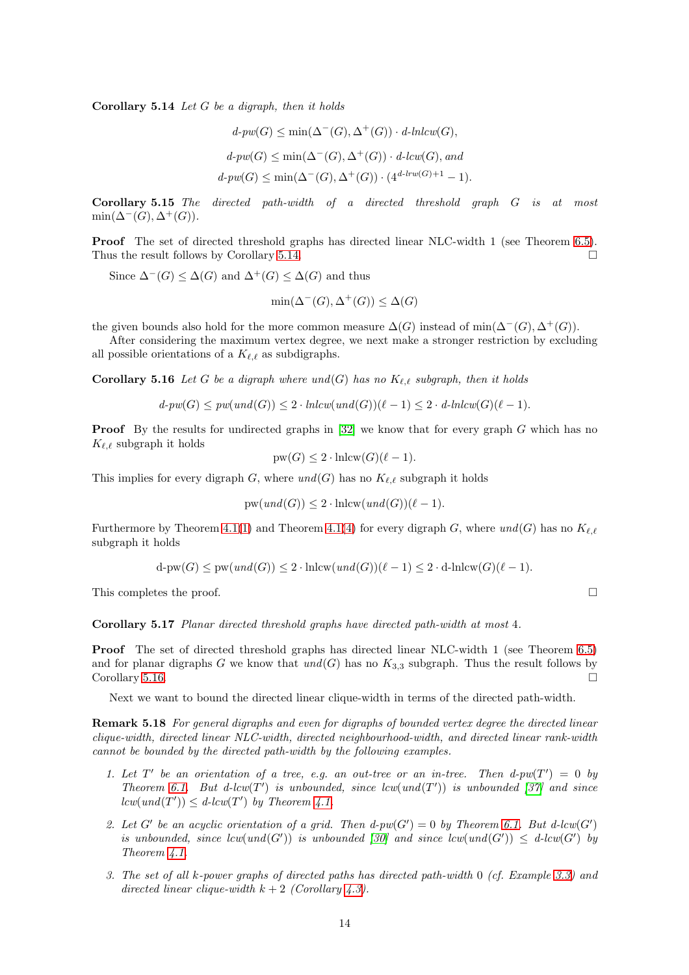Corollary 5.14 *Let* G *be a digraph, then it holds*

$$
d\text{-}pw(G) \le \min(\Delta^-(G), \Delta^+(G)) \cdot d\text{-}lnlcw(G),
$$
  

$$
d\text{-}pw(G) \le \min(\Delta^-(G), \Delta^+(G)) \cdot d\text{-}lcw(G), and
$$
  

$$
d\text{-}pw(G) \le \min(\Delta^-(G), \Delta^+(G)) \cdot (4^{d\text{-}lrw(G)+1} - 1).
$$

Corollary 5.15 *The directed path-width of a directed threshold graph* G *is at most*  $\min(\Delta^-(G), \Delta^+(G)).$ 

Proof The set of directed threshold graphs has directed linear NLC-width 1 (see Theorem [6.5\)](#page-16-0). Thus the result follows by Corollary [5.14.](#page-12-2)

Since  $\Delta^{-}(G) \leq \Delta(G)$  and  $\Delta^{+}(G) \leq \Delta(G)$  and thus

$$
\min(\Delta^-(G), \Delta^+(G)) \le \Delta(G)
$$

the given bounds also hold for the more common measure  $\Delta(G)$  instead of min( $\Delta^{-}(G), \Delta^{+}(G)$ ).

<span id="page-13-0"></span>After considering the maximum vertex degree, we next make a stronger restriction by excluding all possible orientations of a  $K_{\ell,\ell}$  as subdigraphs.

Corollary 5.16 *Let* G *be a digraph where und*(G) *has no* Kℓ,ℓ *subgraph, then it holds*

$$
d\text{-}pw(G) \leq pw(\text{und}(G)) \leq 2 \cdot \text{lnlcw}(\text{und}(G))(\ell-1) \leq 2 \cdot d\text{-}lnlcw(G)(\ell-1).
$$

**Proof** By the results for undirected graphs in  $[32]$  we know that for every graph G which has no  $K_{\ell,\ell}$  subgraph it holds

$$
pw(G) \le 2 \cdot \text{lnlcw}(G)(\ell - 1).
$$

This implies for every digraph G, where  $und(G)$  has no  $K_{\ell,\ell}$  subgraph it holds

$$
pw(und(G)) \le 2 \cdot \text{lnlcw}(und(G)) (\ell - 1).
$$

Furthermore by Theorem [4.1](#page-7-2)[\(1\)](#page-7-3) and Theorem [4.1\(](#page-7-2)[4\)](#page-7-5) for every digraph G, where  $und(G)$  has no  $K_{\ell,\ell}$ subgraph it holds

$$
\mathrm{d}\text{-pw}(G) \le \mathrm{pw}(\mathit{und}(G)) \le 2 \cdot \mathrm{lnlcw}(\mathit{und}(G))(\ell-1) \le 2 \cdot \mathrm{d}\text{-}\mathrm{lnlcw}(G)(\ell-1).
$$

This completes the proof.  $\square$ 

Corollary 5.17 *Planar directed threshold graphs have directed path-width at most* 4*.*

Proof The set of directed threshold graphs has directed linear NLC-width 1 (see Theorem [6.5\)](#page-16-0) and for planar digraphs G we know that  $und(G)$  has no  $K_{3,3}$  subgraph. Thus the result follows by  $\Box$  Corollary [5.16.](#page-13-0)

Next we want to bound the directed linear clique-width in terms of the directed path-width.

Remark 5.18 *For general digraphs and even for digraphs of bounded vertex degree the directed linear clique-width, directed linear NLC-width, directed neighbourhood-width, and directed linear rank-width cannot be bounded by the directed path-width by the following examples.*

- 1. Let  $T'$  be an orientation of a tree, e.g. an out-tree or an in-tree. Then  $d$ -pw( $T'$ ) = 0 by *Theorem* [6.1.](#page-15-0) But d-lcw( $T'$ ) *is unbounded, since* lcw( $und(T')$ ) *is unbounded* [\[37\]](#page-20-2) and since  $lcw(und(T')) \leq d-lcw(T')$  by Theorem [4.1.](#page-7-2)
- 2. Let G' be an acyclic orientation of a grid. Then  $d$ -pw(G') = 0 by Theorem [6.1.](#page-15-0) But  $d$ -lcw(G') *is unbounded, since*  $lcw(und(G'))$  *<i>is unbounded* [\[30\]](#page-20-13) and since  $lcw(und(G')) \leq d-lcw(G')$  by *Theorem [4.1.](#page-7-2)*
- *3. The set of all* k*-power graphs of directed paths has directed path-width* 0 *(cf. Example [3.3\)](#page-4-0) and directed linear clique-width*  $k + 2$  *(Corollary [4.3\)](#page-9-0).*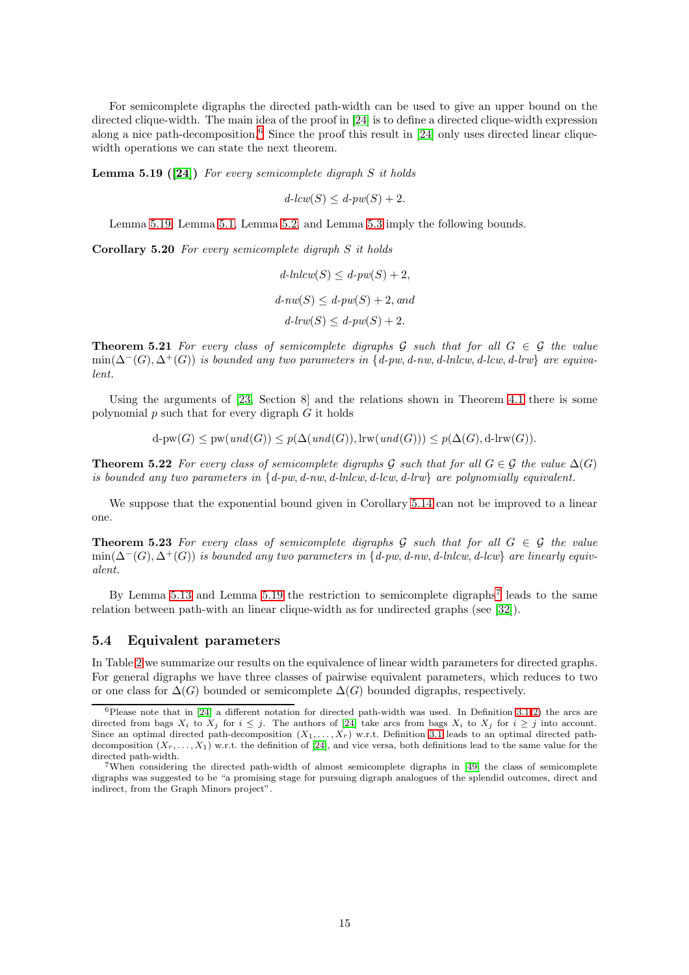For semicomplete digraphs the directed path-width can be used to give an upper bound on the directed clique-width. The main idea of the proof in [\[24\]](#page-20-17) is to define a directed clique-width expression along a nice path-decomposition.<sup>[6](#page-14-0)</sup> Since the proof this result in  $[24]$  only uses directed linear cliquewidth operations we can state the next theorem.

<span id="page-14-1"></span>Lemma 5.19 ([\[24\]](#page-20-17)) *For every semicomplete digraph* S *it holds*

 $d$ -lcw(S)  $\leq d$ -pw(S) + 2.

<span id="page-14-3"></span>Lemma [5.19,](#page-14-1) Lemma [5.1,](#page-11-2) Lemma [5.2,](#page-11-0) and Lemma [5.3](#page-11-1) imply the following bounds.

Corollary 5.20 *For every semicomplete digraph* S *it holds*

$$
d\text{-}lnlcw(S) \leq d\text{-}pw(S) + 2,
$$
  

$$
d\text{-}nw(S) \leq d\text{-}pw(S) + 2, and
$$
  

$$
d\text{-}lrw(S) \leq d\text{-}pw(S) + 2.
$$

**Theorem 5.21** For every class of semicomplete digraphs  $\mathcal{G}$  such that for all  $G \in \mathcal{G}$  the value min(∆−(G), ∆+(G)) *is bounded any two parameters in* {*d-pw*, *d-nw*, *d-lnlcw*, *d-lcw*, *d-lrw*} *are equivalent.*

Using the arguments of [\[23,](#page-20-16) Section 8] and the relations shown in Theorem [4.1](#page-7-2) there is some polynomial p such that for every digraph  $\tilde{G}$  it holds

 $d$ -pw $(G) \leq pw(und(G)) \leq p(\Delta und(G)),$ lrw $(und(G))) \leq p(\Delta(G), d$ -lrw $(G)).$ 

**Theorem 5.22** *For every class of semicomplete digraphs* G *such that for all*  $G \in \mathcal{G}$  *the value*  $\Delta(G)$ *is bounded any two parameters in* {*d-pw*, *d-nw*, *d-lnlcw*, *d-lcw*, *d-lrw*} *are polynomially equivalent.*

We suppose that the exponential bound given in Corollary [5.14](#page-12-2) can not be improved to a linear one.

**Theorem 5.23** For every class of semicomplete digraphs  $G$  such that for all  $G \in \mathcal{G}$  the value  $\min(\Delta^-(G), \Delta^+(G))$  *is bounded any two parameters in* {*d-pw, d-nw, d-lnlcw, d-lcw} are linearly equivalent.*

By Lemma [5.13](#page-12-1) and Lemma [5.19](#page-14-1) the restriction to semicomplete digraphs<sup>[7](#page-14-2)</sup> leads to the same relation between path-with an linear clique-width as for undirected graphs (see [\[32\]](#page-20-3)).

#### 5.4 Equivalent parameters

In Table [2](#page-15-1) we summarize our results on the equivalence of linear width parameters for directed graphs. For general digraphs we have three classes of pairwise equivalent parameters, which reduces to two or one class for  $\Delta(G)$  bounded or semicomplete  $\Delta(G)$  bounded digraphs, respectively.

<span id="page-14-0"></span> $6$ Please note that in [\[24\]](#page-20-17) a different notation for directed path-width was used. In Definition [3.1](#page-3-2)[\(2\)](#page-3-3) the arcs are directed from bags  $X_i$  to  $X_j$  for  $i \leq j$ . The authors of [\[24\]](#page-20-17) take arcs from bags  $X_i$  to  $X_j$  for  $i \geq j$  into account. Since an optimal directed path-decomposition  $(X_1, \ldots, X_r)$  w.r.t. Definition [3.1](#page-3-2) leads to an optimal directed pathdecomposition  $(X_r, \ldots, X_1)$  w.r.t. the definition of [\[24\]](#page-20-17), and vice versa, both definitions lead to the same value for the directed path-width.

<span id="page-14-2"></span><sup>7</sup>When considering the directed path-width of almost semicomplete digraphs in [\[49\]](#page-21-9) the class of semicomplete digraphs was suggested to be "a promising stage for pursuing digraph analogues of the splendid outcomes, direct and indirect, from the Graph Minors project".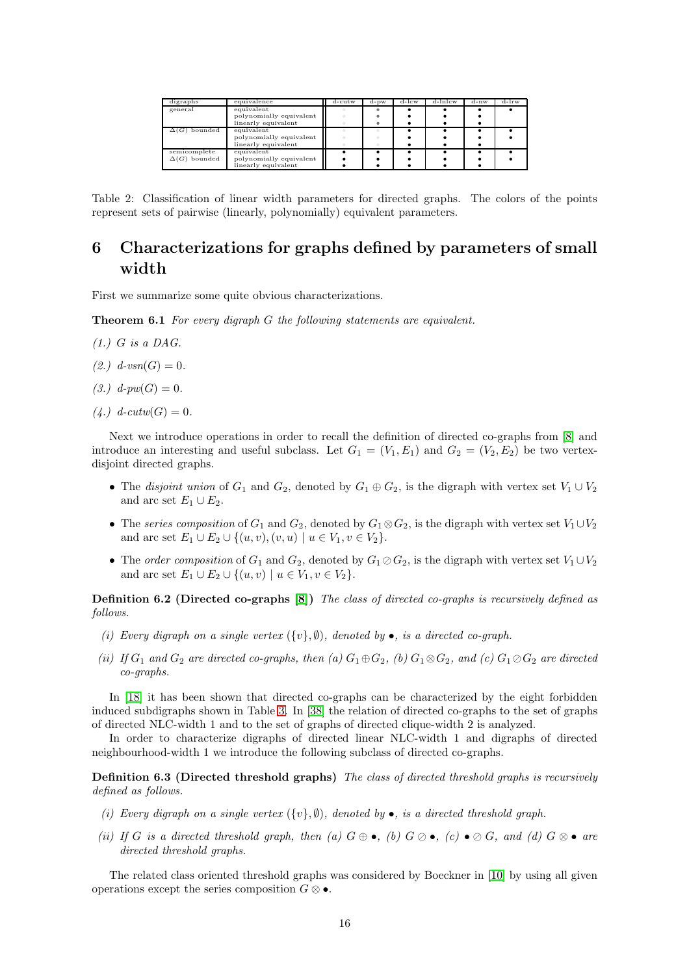| digraphs            | equivalence             | d-cutw | $d$ - $pw$ | d-lcw | d-lnlcw | d-nw | d-lrw |
|---------------------|-------------------------|--------|------------|-------|---------|------|-------|
| general             | equivalent              |        |            |       |         |      |       |
|                     | polynomially equivalent |        |            |       |         |      |       |
|                     | linearly equivalent     |        |            |       |         |      |       |
| $\Delta(G)$ bounded | equivalent              |        |            |       |         |      |       |
|                     | polynomially equivalent |        |            |       |         |      |       |
|                     | linearly equivalent     |        |            |       |         |      |       |
| semicomplete        | equivalent              |        |            |       |         |      |       |
| $\Delta(G)$ bounded | polynomially equivalent |        |            |       |         |      |       |
|                     | linearly equivalent     |        |            |       |         |      |       |

<span id="page-15-1"></span>Table 2: Classification of linear width parameters for directed graphs. The colors of the points represent sets of pairwise (linearly, polynomially) equivalent parameters.

# 6 Characterizations for graphs defined by parameters of small width

<span id="page-15-0"></span>First we summarize some quite obvious characterizations.

Theorem 6.1 *For every digraph* G *the following statements are equivalent.*

- *(1.)* G *is a DAG.*
- $(2.) \ d\text{-}vsn(G) = 0.$
- $(3.) \, d\text{-}pw(G) = 0.$
- $(4.) \ d\text{-}cutw(G) = 0.$

Next we introduce operations in order to recall the definition of directed co-graphs from [\[8\]](#page-19-14) and introduce an interesting and useful subclass. Let  $G_1 = (V_1, E_1)$  and  $G_2 = (V_2, E_2)$  be two vertexdisjoint directed graphs.

- The *disjoint union* of  $G_1$  and  $G_2$ , denoted by  $G_1 \oplus G_2$ , is the digraph with vertex set  $V_1 \cup V_2$ and arc set  $E_1 \cup E_2$ .
- The *series composition* of  $G_1$  and  $G_2$ , denoted by  $G_1 \otimes G_2$ , is the digraph with vertex set  $V_1 \cup V_2$ and arc set  $E_1 \cup E_2 \cup \{(u, v), (v, u) \mid u \in V_1, v \in V_2\}.$
- The *order composition* of  $G_1$  and  $G_2$ , denoted by  $G_1 \otimes G_2$ , is the digraph with vertex set  $V_1 \cup V_2$ and arc set  $E_1 \cup E_2 \cup \{(u, v) \mid u \in V_1, v \in V_2\}.$

Definition 6.2 (Directed co-graphs [\[8\]](#page-19-14)) *The class of directed co-graphs is recursively defined as follows.*

- *(i) Every digraph on a single vertex*  $({v}, \emptyset)$ *, denoted by* •*, is a directed co-graph.*
- *(ii)* If  $G_1$  and  $G_2$  are directed co-graphs, then (a)  $G_1 \oplus G_2$ , *(b)*  $G_1 \otimes G_2$ , and *(c)*  $G_1 \otimes G_2$  are directed *co-graphs.*

In [\[18\]](#page-19-15) it has been shown that directed co-graphs can be characterized by the eight forbidden induced subdigraphs shown in Table [3.](#page-16-1) In [\[38\]](#page-21-7) the relation of directed co-graphs to the set of graphs of directed NLC-width 1 and to the set of graphs of directed clique-width 2 is analyzed.

In order to characterize digraphs of directed linear NLC-width 1 and digraphs of directed neighbourhood-width 1 we introduce the following subclass of directed co-graphs.

Definition 6.3 (Directed threshold graphs) *The class of directed threshold graphs is recursively defined as follows.*

- *(i) Every digraph on a single vertex*  $({v}, \emptyset)$ *, denoted by* •*, is a directed threshold graph.*
- *(ii)* If G is a directed threshold graph, then (a)  $G \oplus \bullet$ , *(b)*  $G \otimes \bullet$ , *(c)*  $\bullet \otimes G$ *, and (d)*  $G \otimes \bullet$  *are directed threshold graphs.*

The related class oriented threshold graphs was considered by Boeckner in [\[10\]](#page-19-16) by using all given operations except the series composition  $G \otimes \bullet$ .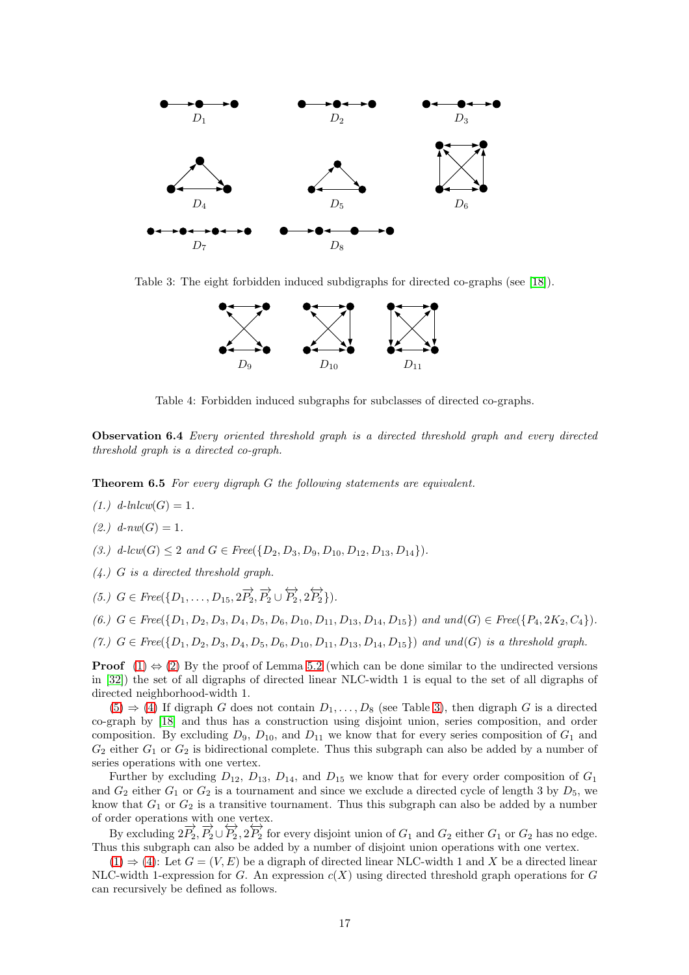

Table 3: The eight forbidden induced subdigraphs for directed co-graphs (see [\[18\]](#page-19-15)).

<span id="page-16-1"></span>

Table 4: Forbidden induced subgraphs for subclasses of directed co-graphs.

Observation 6.4 *Every oriented threshold graph is a directed threshold graph and every directed threshold graph is a directed co-graph.*

<span id="page-16-2"></span><span id="page-16-0"></span>Theorem 6.5 *For every digraph* G *the following statements are equivalent.*

- <span id="page-16-3"></span> $(1.)$   $d\text{-}lnlcw(G) = 1.$
- <span id="page-16-6"></span> $(2.)$   $d$ - $nw(G) = 1$ .

<span id="page-16-5"></span>*(3.)*  $d$ -lcw $(G) \leq 2$  *and*  $G \in \text{Free}(\{D_2, D_3, D_9, D_{10}, D_{12}, D_{13}, D_{14}\}).$ 

<span id="page-16-4"></span>*(4.)* G *is a directed threshold graph.*

<span id="page-16-8"></span> $(5.) \, G \in \text{Free}(\{D_1, \ldots, D_{15}, 2\overrightarrow{P_2}, \overrightarrow{P_2} \cup \overleftrightarrow{P_2}, 2\overleftrightarrow{P_2}\}).$ 

<span id="page-16-7"></span>
$$
(6.)\ \ G \in \text{Free}(\{D_1, D_2, D_3, D_4, D_5, D_6, D_{10}, D_{11}, D_{13}, D_{14}, D_{15}\})\ \ and\ \ und(G) \in \text{Free}(\{P_4, 2K_2, C_4\}).
$$

 $(7.)$  *G* ∈ *Free*({ $D_1, D_2, D_3, D_4, D_5, D_6, D_{10}, D_{11}, D_{13}, D_{14}, D_{15}$ }) *and und*(*G*) *is a threshold graph.* 

**Proof** [\(1\)](#page-16-2)  $\Leftrightarrow$  [\(2\)](#page-16-3) By the proof of Lemma [5.2](#page-11-0) (which can be done similar to the undirected versions in [\[32\]](#page-20-3)) the set of all digraphs of directed linear NLC-width 1 is equal to the set of all digraphs of directed neighborhood-width 1.

 $(5) \Rightarrow (4)$  $(5) \Rightarrow (4)$  $(5) \Rightarrow (4)$  If digraph G does not contain  $D_1, \ldots, D_8$  (see Table [3\)](#page-16-1), then digraph G is a directed co-graph by [\[18\]](#page-19-15) and thus has a construction using disjoint union, series composition, and order composition. By excluding  $D_9$ ,  $D_{10}$ , and  $D_{11}$  we know that for every series composition of  $G_1$  and  $G_2$  either  $G_1$  or  $G_2$  is bidirectional complete. Thus this subgraph can also be added by a number of series operations with one vertex.

Further by excluding  $D_{12}$ ,  $D_{13}$ ,  $D_{14}$ , and  $D_{15}$  we know that for every order composition of  $G_1$ and  $G_2$  either  $G_1$  or  $G_2$  is a tournament and since we exclude a directed cycle of length 3 by  $D_5$ , we know that  $G_1$  or  $G_2$  is a transitive tournament. Thus this subgraph can also be added by a number of order operations with one vertex.

By excluding  $2\overrightarrow{P_2}, \overrightarrow{P_2} \cup \overrightarrow{P_2}, 2\overrightarrow{P_2}$  for every disjoint union of  $G_1$  and  $G_2$  either  $G_1$  or  $G_2$  has no edge. Thus this subgraph can also be added by a number of disjoint union operations with one vertex.

 $(1) \Rightarrow (4)$  $(1) \Rightarrow (4)$  $(1) \Rightarrow (4)$ : Let  $G = (V, E)$  be a digraph of directed linear NLC-width 1 and X be a directed linear NLC-width 1-expression for G. An expression  $c(X)$  using directed threshold graph operations for G can recursively be defined as follows.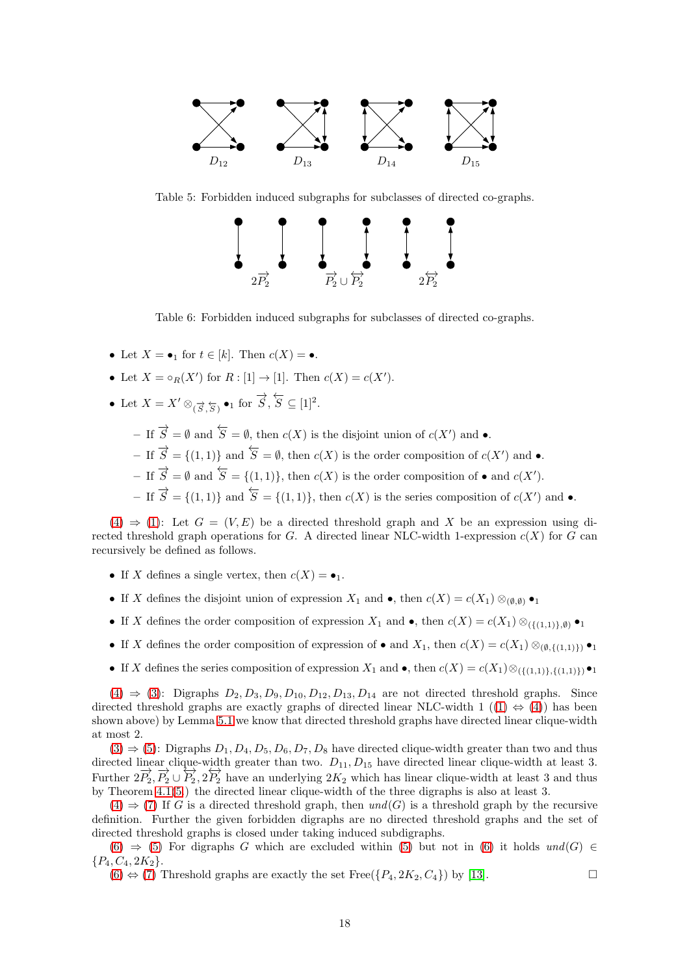

Table 5: Forbidden induced subgraphs for subclasses of directed co-graphs.



Table 6: Forbidden induced subgraphs for subclasses of directed co-graphs.

- Let  $X = \bullet_1$  for  $t \in [k]$ . Then  $c(X) = \bullet$ .
- Let  $X = \circ_R(X')$  for  $R : [1] \to [1]$ . Then  $c(X) = c(X')$ .
- Let  $X = X' \otimes_{(\overrightarrow{S}, \overleftarrow{S})} \bullet_1 \text{ for } \overrightarrow{S}, \overleftarrow{S} \subseteq [1]^2$ .
	- $-$  If  $\overrightarrow{S} = \emptyset$  and  $\overleftarrow{S} = \emptyset$ , then  $c(X)$  is the disjoint union of  $c(X')$  and  $\bullet$ .
	- $-$  If  $\overrightarrow{S} = \{(1,1)\}\$ and  $\overleftarrow{S} = \emptyset$ , then  $c(X)$  is the order composition of  $c(X')$  and  $\bullet$ .
	- $-$  If  $\overrightarrow{S} = \emptyset$  and  $\overleftarrow{S} = \{(1,1)\}\$ , then  $c(X)$  is the order composition of  $\bullet$  and  $c(X')$ .
	- $-$  If  $\overrightarrow{S} = \{(1,1)\}\$  and  $\overleftarrow{S} = \{(1,1)\}\$ , then  $c(X)$  is the series composition of  $c(X')$  and  $\bullet$ .

 $(4) \Rightarrow (1)$  $(4) \Rightarrow (1)$  $(4) \Rightarrow (1)$ : Let  $G = (V, E)$  be a directed threshold graph and X be an expression using directed threshold graph operations for G. A directed linear NLC-width 1-expression  $c(X)$  for G can recursively be defined as follows.

- If X defines a single vertex, then  $c(X) = \bullet_1$ .
- If X defines the disjoint union of expression  $X_1$  and •, then  $c(X) = c(X_1) \otimes_{(\emptyset,\emptyset)} \bullet_1$
- If X defines the order composition of expression  $X_1$  and •, then  $c(X) = c(X_1) \otimes_{(\{(1,1)\},\emptyset)} \bullet_1$
- If X defines the order composition of expression of and  $X_1$ , then  $c(X) = c(X_1) \otimes_{(0,\{(1,1)\})} \bullet_1$
- If X defines the series composition of expression  $X_1$  and •, then  $c(X) = c(X_1) \otimes_{(\{(1,1)\},\{(1,1)\})} \bullet_1$

 $(4) \Rightarrow (3)$  $(4) \Rightarrow (3)$  $(4) \Rightarrow (3)$ : Digraphs  $D_2, D_3, D_9, D_{10}, D_{12}, D_{13}, D_{14}$  are not directed threshold graphs. Since directed threshold graphs are exactly graphs of directed linear NLC-width 1 ([\(1\)](#page-16-2)  $\Leftrightarrow$  [\(4\)](#page-16-5)) has been shown above) by Lemma [5.1](#page-11-2) we know that directed threshold graphs have directed linear clique-width at most 2.

 $(3) \Rightarrow (5)$  $(3) \Rightarrow (5)$  $(3) \Rightarrow (5)$ : Digraphs  $D_1, D_4, D_5, D_6, D_7, D_8$  have directed clique-width greater than two and thus directed linear clique-width greater than two.  $D_{11}$ ,  $D_{15}$  have directed linear clique-width at least 3. Further  $2\overrightarrow{P_2}, \overrightarrow{P_2} \cup \overrightarrow{P_2}, 2\overrightarrow{P_2}$  have an underlying  $2K_2$  which has linear clique-width at least 3 and thus by Theorem [4.1](#page-7-2)[\(5.](#page-7-6)) the directed linear clique-width of the three digraphs is also at least 3.

 $(4) \Rightarrow (7)$  $(4) \Rightarrow (7)$  $(4) \Rightarrow (7)$  If G is a directed threshold graph, then  $und(G)$  is a threshold graph by the recursive definition. Further the given forbidden digraphs are no directed threshold graphs and the set of directed threshold graphs is closed under taking induced subdigraphs.

[\(6\)](#page-16-8) ⇒ [\(5\)](#page-16-4) For digraphs G which are excluded within [\(5\)](#page-16-4) but not in [\(6\)](#page-16-8) it holds *und*(G) ∈  ${P_4, C_4, 2K_2}.$ 

 $(6) \Leftrightarrow (7)$  $(6) \Leftrightarrow (7)$  $(6) \Leftrightarrow (7)$  Threshold graphs are exactly the set Free $({P_4, 2K_2, C_4})$  by [\[13\]](#page-19-17).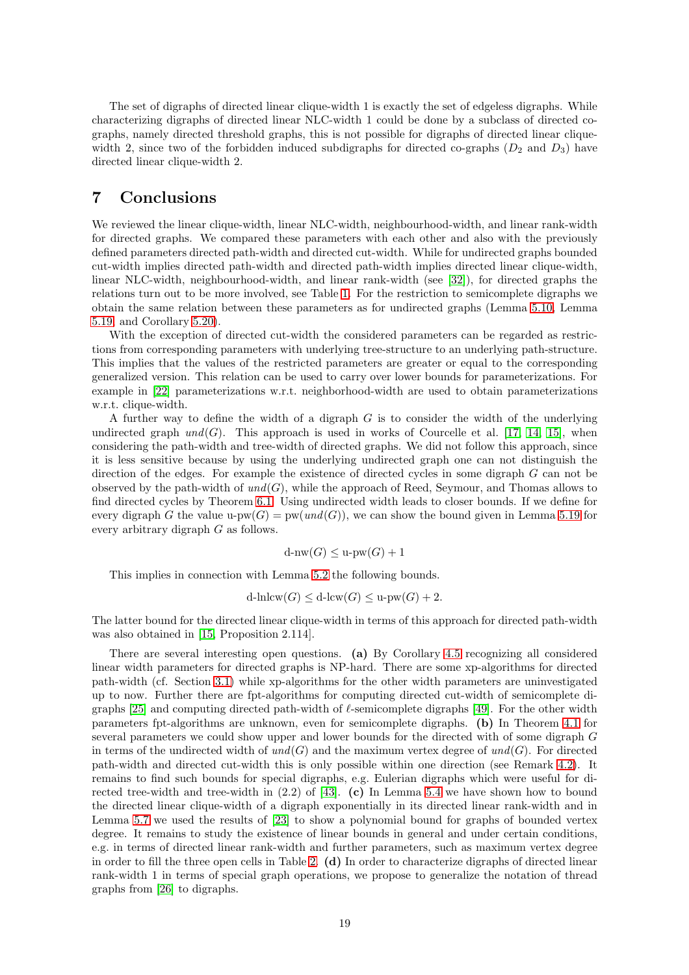The set of digraphs of directed linear clique-width 1 is exactly the set of edgeless digraphs. While characterizing digraphs of directed linear NLC-width 1 could be done by a subclass of directed cographs, namely directed threshold graphs, this is not possible for digraphs of directed linear cliquewidth 2, since two of the forbidden induced subdigraphs for directed co-graphs  $(D_2 \text{ and } D_3)$  have directed linear clique-width 2.

## <span id="page-18-0"></span>7 Conclusions

We reviewed the linear clique-width, linear NLC-width, neighbourhood-width, and linear rank-width for directed graphs. We compared these parameters with each other and also with the previously defined parameters directed path-width and directed cut-width. While for undirected graphs bounded cut-width implies directed path-width and directed path-width implies directed linear clique-width, linear NLC-width, neighbourhood-width, and linear rank-width (see [\[32\]](#page-20-3)), for directed graphs the relations turn out to be more involved, see Table [1.](#page-0-0) For the restriction to semicomplete digraphs we obtain the same relation between these parameters as for undirected graphs (Lemma [5.10,](#page-12-3) Lemma [5.19,](#page-14-1) and Corollary [5.20\)](#page-14-3).

With the exception of directed cut-width the considered parameters can be regarded as restrictions from corresponding parameters with underlying tree-structure to an underlying path-structure. This implies that the values of the restricted parameters are greater or equal to the corresponding generalized version. This relation can be used to carry over lower bounds for parameterizations. For example in [\[22\]](#page-20-6) parameterizations w.r.t. neighborhood-width are used to obtain parameterizations w.r.t. clique-width.

A further way to define the width of a digraph G is to consider the width of the underlying undirected graph  $und(G)$ . This approach is used in works of Courcelle et al. [\[17,](#page-19-0) [14,](#page-19-18) [15\]](#page-19-3), when considering the path-width and tree-width of directed graphs. We did not follow this approach, since it is less sensitive because by using the underlying undirected graph one can not distinguish the direction of the edges. For example the existence of directed cycles in some digraph G can not be observed by the path-width of *und*(G), while the approach of Reed, Seymour, and Thomas allows to find directed cycles by Theorem [6.1.](#page-15-0) Using undirected width leads to closer bounds. If we define for every digraph G the value u-pw $(G)$  = pw $(und(G))$ , we can show the bound given in Lemma [5.19](#page-14-1) for every arbitrary digraph G as follows.

$$
d\text{-nw}(G) \le u\text{-pw}(G) + 1
$$

This implies in connection with Lemma [5.2](#page-11-0) the following bounds.

$$
d\text{-}lnlcw(G) \le d\text{-}lcw(G) \le u\text{-}pw(G) + 2.
$$

The latter bound for the directed linear clique-width in terms of this approach for directed path-width was also obtained in [\[15,](#page-19-3) Proposition 2.114].

There are several interesting open questions. (a) By Corollary [4.5](#page-10-0) recognizing all considered linear width parameters for directed graphs is NP-hard. There are some xp-algorithms for directed path-width (cf. Section [3.1\)](#page-3-4) while xp-algorithms for the other width parameters are uninvestigated up to now. Further there are fpt-algorithms for computing directed cut-width of semicomplete di-graphs [\[25\]](#page-20-12) and computing directed path-width of  $\ell$ -semicomplete digraphs [\[49\]](#page-21-9). For the other width parameters fpt-algorithms are unknown, even for semicomplete digraphs. (b) In Theorem [4.1](#page-7-2) for several parameters we could show upper and lower bounds for the directed with of some digraph G in terms of the undirected width of  $und(G)$  and the maximum vertex degree of  $und(G)$ . For directed path-width and directed cut-width this is only possible within one direction (see Remark [4.2\)](#page-9-2). It remains to find such bounds for special digraphs, e.g. Eulerian digraphs which were useful for directed tree-width and tree-width in  $(2.2)$  of [\[43\]](#page-21-6). (c) In Lemma [5.4](#page-11-3) we have shown how to bound the directed linear clique-width of a digraph exponentially in its directed linear rank-width and in Lemma [5.7](#page-11-4) we used the results of [\[23\]](#page-20-16) to show a polynomial bound for graphs of bounded vertex degree. It remains to study the existence of linear bounds in general and under certain conditions, e.g. in terms of directed linear rank-width and further parameters, such as maximum vertex degree in order to fill the three open cells in Table [2.](#page-15-1) (d) In order to characterize digraphs of directed linear rank-width 1 in terms of special graph operations, we propose to generalize the notation of thread graphs from [\[26\]](#page-20-4) to digraphs.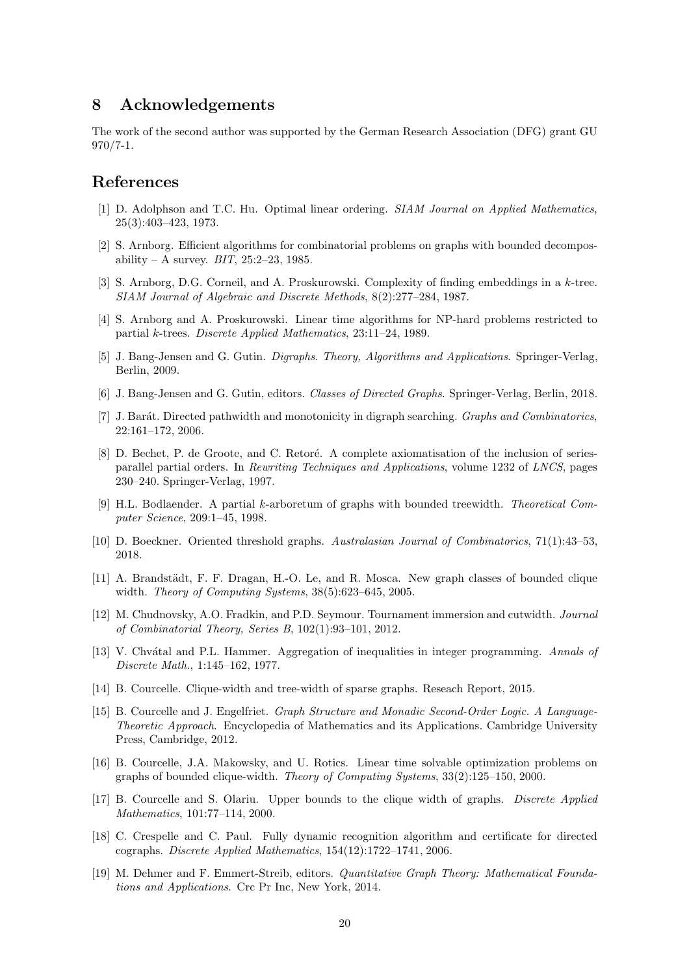## 8 Acknowledgements

The work of the second author was supported by the German Research Association (DFG) grant GU 970/7-1.

## <span id="page-19-7"></span>References

- [1] D. Adolphson and T.C. Hu. Optimal linear ordering. *SIAM Journal on Applied Mathematics*, 25(3):403–423, 1973.
- <span id="page-19-1"></span>[2] S. Arnborg. Efficient algorithms for combinatorial problems on graphs with bounded decomposability – A survey. *BIT*, 25:2–23, 1985.
- <span id="page-19-13"></span>[3] S. Arnborg, D.G. Corneil, and A. Proskurowski. Complexity of finding embeddings in a k-tree. *SIAM Journal of Algebraic and Discrete Methods*, 8(2):277–284, 1987.
- <span id="page-19-12"></span><span id="page-19-2"></span>[4] S. Arnborg and A. Proskurowski. Linear time algorithms for NP-hard problems restricted to partial k-trees. *Discrete Applied Mathematics*, 23:11–24, 1989.
- <span id="page-19-8"></span>[5] J. Bang-Jensen and G. Gutin. *Digraphs. Theory, Algorithms and Applications*. Springer-Verlag, Berlin, 2009.
- <span id="page-19-10"></span>[6] J. Bang-Jensen and G. Gutin, editors. *Classes of Directed Graphs*. Springer-Verlag, Berlin, 2018.
- [7] J. Bar´at. Directed pathwidth and monotonicity in digraph searching. *Graphs and Combinatorics*, 22:161–172, 2006.
- <span id="page-19-14"></span>[8] D. Bechet, P. de Groote, and C. Retoré. A complete axiomatisation of the inclusion of seriesparallel partial orders. In *Rewriting Techniques and Applications*, volume 1232 of *LNCS*, pages 230–240. Springer-Verlag, 1997.
- <span id="page-19-6"></span>[9] H.L. Bodlaender. A partial k-arboretum of graphs with bounded treewidth. *Theoretical Computer Science*, 209:1–45, 1998.
- <span id="page-19-16"></span><span id="page-19-5"></span>[10] D. Boeckner. Oriented threshold graphs. *Australasian Journal of Combinatorics*, 71(1):43–53, 2018.
- [11] A. Brandstädt, F. F. Dragan, H.-O. Le, and R. Mosca. New graph classes of bounded clique width. *Theory of Computing Systems*, 38(5):623–645, 2005.
- <span id="page-19-11"></span>[12] M. Chudnovsky, A.O. Fradkin, and P.D. Seymour. Tournament immersion and cutwidth. *Journal of Combinatorial Theory, Series B*, 102(1):93–101, 2012.
- <span id="page-19-17"></span>[13] V. Chv´atal and P.L. Hammer. Aggregation of inequalities in integer programming. *Annals of Discrete Math.*, 1:145–162, 1977.
- <span id="page-19-18"></span><span id="page-19-3"></span>[14] B. Courcelle. Clique-width and tree-width of sparse graphs. Reseach Report, 2015.
- [15] B. Courcelle and J. Engelfriet. *Graph Structure and Monadic Second-Order Logic. A Language-Theoretic Approach*. Encyclopedia of Mathematics and its Applications. Cambridge University Press, Cambridge, 2012.
- <span id="page-19-4"></span>[16] B. Courcelle, J.A. Makowsky, and U. Rotics. Linear time solvable optimization problems on graphs of bounded clique-width. *Theory of Computing Systems*, 33(2):125–150, 2000.
- <span id="page-19-0"></span>[17] B. Courcelle and S. Olariu. Upper bounds to the clique width of graphs. *Discrete Applied Mathematics*, 101:77–114, 2000.
- <span id="page-19-15"></span>[18] C. Crespelle and C. Paul. Fully dynamic recognition algorithm and certificate for directed cographs. *Discrete Applied Mathematics*, 154(12):1722–1741, 2006.
- <span id="page-19-9"></span>[19] M. Dehmer and F. Emmert-Streib, editors. *Quantitative Graph Theory: Mathematical Foundations and Applications*. Crc Pr Inc, New York, 2014.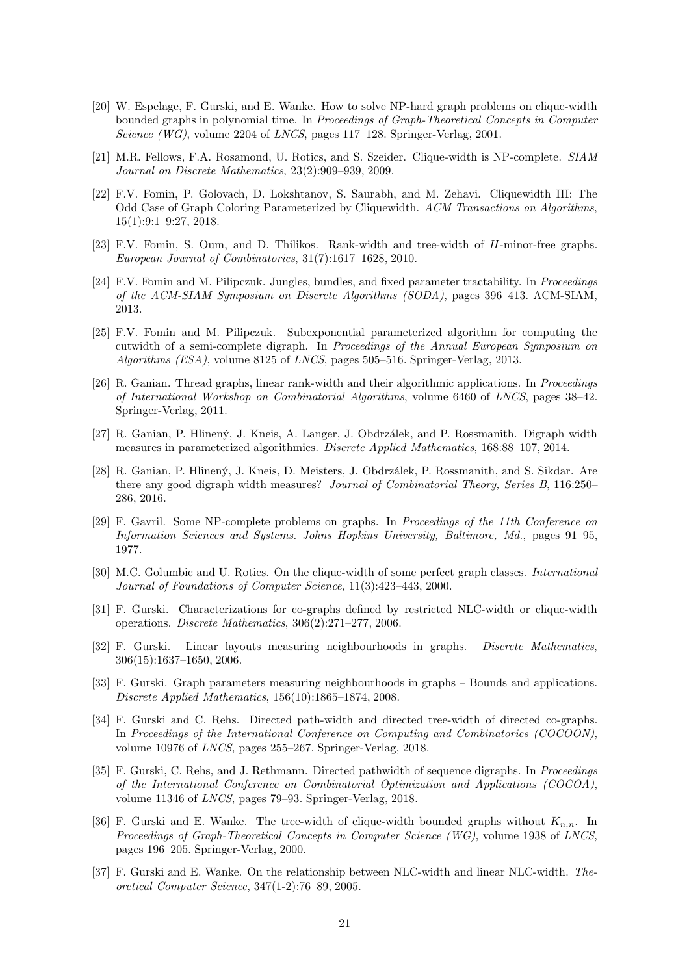- <span id="page-20-1"></span>[20] W. Espelage, F. Gurski, and E. Wanke. How to solve NP-hard graph problems on clique-width bounded graphs in polynomial time. In *Proceedings of Graph-Theoretical Concepts in Computer Science (WG)*, volume 2204 of *LNCS*, pages 117–128. Springer-Verlag, 2001.
- <span id="page-20-5"></span>[21] M.R. Fellows, F.A. Rosamond, U. Rotics, and S. Szeider. Clique-width is NP-complete. *SIAM Journal on Discrete Mathematics*, 23(2):909–939, 2009.
- <span id="page-20-6"></span>[22] F.V. Fomin, P. Golovach, D. Lokshtanov, S. Saurabh, and M. Zehavi. Cliquewidth III: The Odd Case of Graph Coloring Parameterized by Cliquewidth. *ACM Transactions on Algorithms*, 15(1):9:1–9:27, 2018.
- <span id="page-20-16"></span>[23] F.V. Fomin, S. Oum, and D. Thilikos. Rank-width and tree-width of H-minor-free graphs. *European Journal of Combinatorics*, 31(7):1617–1628, 2010.
- <span id="page-20-17"></span>[24] F.V. Fomin and M. Pilipczuk. Jungles, bundles, and fixed parameter tractability. In *Proceedings of the ACM-SIAM Symposium on Discrete Algorithms (SODA)*, pages 396–413. ACM-SIAM, 2013.
- <span id="page-20-12"></span>[25] F.V. Fomin and M. Pilipczuk. Subexponential parameterized algorithm for computing the cutwidth of a semi-complete digraph. In *Proceedings of the Annual European Symposium on Algorithms (ESA)*, volume 8125 of *LNCS*, pages 505–516. Springer-Verlag, 2013.
- <span id="page-20-4"></span>[26] R. Ganian. Thread graphs, linear rank-width and their algorithmic applications. In *Proceedings of International Workshop on Combinatorial Algorithms*, volume 6460 of *LNCS*, pages 38–42. Springer-Verlag, 2011.
- <span id="page-20-9"></span><span id="page-20-8"></span>[27] R. Ganian, P. Hlinen´y, J. Kneis, A. Langer, J. Obdrz´alek, and P. Rossmanith. Digraph width measures in parameterized algorithmics. *Discrete Applied Mathematics*, 168:88–107, 2014.
- [28] R. Ganian, P. Hlinen´y, J. Kneis, D. Meisters, J. Obdrz´alek, P. Rossmanith, and S. Sikdar. Are there any good digraph width measures? *Journal of Combinatorial Theory, Series B*, 116:250– 286, 2016.
- <span id="page-20-15"></span>[29] F. Gavril. Some NP-complete problems on graphs. In *Proceedings of the 11th Conference on Information Sciences and Systems. Johns Hopkins University, Baltimore, Md.*, pages 91–95, 1977.
- <span id="page-20-13"></span>[30] M.C. Golumbic and U. Rotics. On the clique-width of some perfect graph classes. *International Journal of Foundations of Computer Science*, 11(3):423–443, 2000.
- <span id="page-20-7"></span>[31] F. Gurski. Characterizations for co-graphs defined by restricted NLC-width or clique-width operations. *Discrete Mathematics*, 306(2):271–277, 2006.
- <span id="page-20-3"></span>[32] F. Gurski. Linear layouts measuring neighbourhoods in graphs. *Discrete Mathematics*, 306(15):1637–1650, 2006.
- <span id="page-20-14"></span>[33] F. Gurski. Graph parameters measuring neighbourhoods in graphs – Bounds and applications. *Discrete Applied Mathematics*, 156(10):1865–1874, 2008.
- <span id="page-20-11"></span>[34] F. Gurski and C. Rehs. Directed path-width and directed tree-width of directed co-graphs. In *Proceedings of the International Conference on Computing and Combinatorics (COCOON)*, volume 10976 of *LNCS*, pages 255–267. Springer-Verlag, 2018.
- <span id="page-20-10"></span>[35] F. Gurski, C. Rehs, and J. Rethmann. Directed pathwidth of sequence digraphs. In *Proceedings of the International Conference on Combinatorial Optimization and Applications (COCOA)*, volume 11346 of *LNCS*, pages 79–93. Springer-Verlag, 2018.
- <span id="page-20-0"></span>[36] F. Gurski and E. Wanke. The tree-width of clique-width bounded graphs without  $K_{n,n}$ . In *Proceedings of Graph-Theoretical Concepts in Computer Science (WG)*, volume 1938 of *LNCS*, pages 196–205. Springer-Verlag, 2000.
- <span id="page-20-2"></span>[37] F. Gurski and E. Wanke. On the relationship between NLC-width and linear NLC-width. *Theoretical Computer Science*, 347(1-2):76–89, 2005.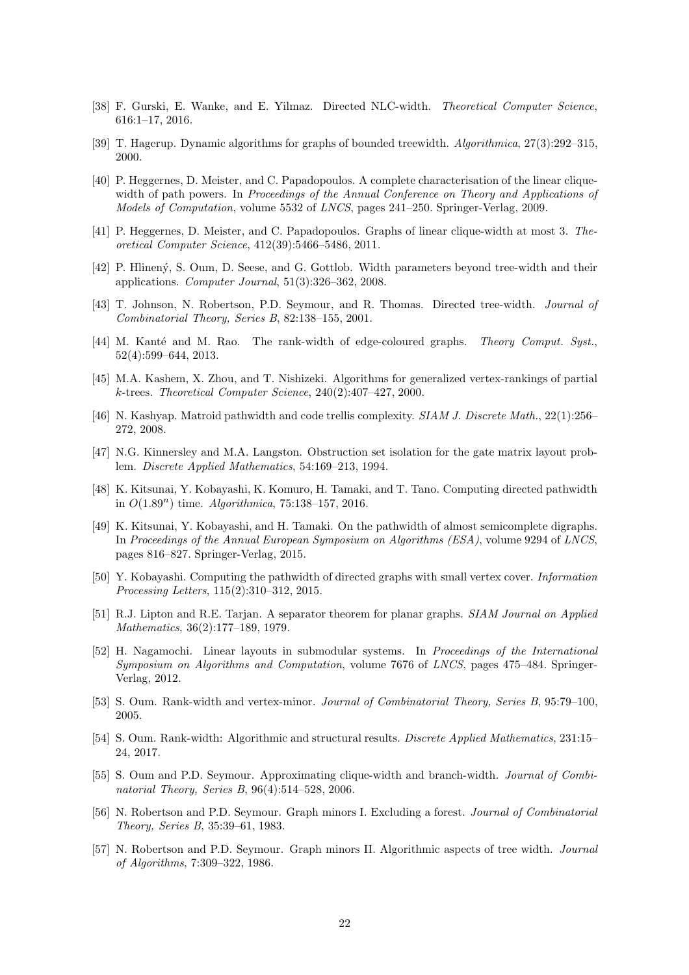- <span id="page-21-7"></span><span id="page-21-2"></span>[38] F. Gurski, E. Wanke, and E. Yilmaz. Directed NLC-width. *Theoretical Computer Science*, 616:1–17, 2016.
- <span id="page-21-16"></span>[39] T. Hagerup. Dynamic algorithms for graphs of bounded treewidth. *Algorithmica*, 27(3):292–315, 2000.
- [40] P. Heggernes, D. Meister, and C. Papadopoulos. A complete characterisation of the linear cliquewidth of path powers. In *Proceedings of the Annual Conference on Theory and Applications of Models of Computation*, volume 5532 of *LNCS*, pages 241–250. Springer-Verlag, 2009.
- <span id="page-21-5"></span>[41] P. Heggernes, D. Meister, and C. Papadopoulos. Graphs of linear clique-width at most 3. *Theoretical Computer Science*, 412(39):5466–5486, 2011.
- <span id="page-21-15"></span>[42] P. Hlinen´y, S. Oum, D. Seese, and G. Gottlob. Width parameters beyond tree-width and their applications. *Computer Journal*, 51(3):326–362, 2008.
- <span id="page-21-8"></span><span id="page-21-6"></span>[43] T. Johnson, N. Robertson, P.D. Seymour, and R. Thomas. Directed tree-width. *Journal of Combinatorial Theory, Series B*, 82:138–155, 2001.
- [44] M. Kanté and M. Rao. The rank-width of edge-coloured graphs. *Theory Comput. Syst.*, 52(4):599–644, 2013.
- <span id="page-21-3"></span>[45] M.A. Kashem, X. Zhou, and T. Nishizeki. Algorithms for generalized vertex-rankings of partial k-trees. *Theoretical Computer Science*, 240(2):407–427, 2000.
- <span id="page-21-18"></span>[46] N. Kashyap. Matroid pathwidth and code trellis complexity. *SIAM J. Discrete Math.*, 22(1):256– 272, 2008.
- <span id="page-21-14"></span>[47] N.G. Kinnersley and M.A. Langston. Obstruction set isolation for the gate matrix layout problem. *Discrete Applied Mathematics*, 54:169–213, 1994.
- <span id="page-21-10"></span>[48] K. Kitsunai, Y. Kobayashi, K. Komuro, H. Tamaki, and T. Tano. Computing directed pathwidth in O(1.89n) time. *Algorithmica*, 75:138–157, 2016.
- <span id="page-21-9"></span>[49] K. Kitsunai, Y. Kobayashi, and H. Tamaki. On the pathwidth of almost semicomplete digraphs. In *Proceedings of the Annual European Symposium on Algorithms (ESA)*, volume 9294 of *LNCS*, pages 816–827. Springer-Verlag, 2015.
- <span id="page-21-12"></span>[50] Y. Kobayashi. Computing the pathwidth of directed graphs with small vertex cover. *Information Processing Letters*, 115(2):310–312, 2015.
- <span id="page-21-13"></span>[51] R.J. Lipton and R.E. Tarjan. A separator theorem for planar graphs. *SIAM Journal on Applied Mathematics*, 36(2):177–189, 1979.
- <span id="page-21-11"></span>[52] H. Nagamochi. Linear layouts in submodular systems. In *Proceedings of the International Symposium on Algorithms and Computation*, volume 7676 of *LNCS*, pages 475–484. Springer-Verlag, 2012.
- <span id="page-21-19"></span><span id="page-21-17"></span>[53] S. Oum. Rank-width and vertex-minor. *Journal of Combinatorial Theory, Series B*, 95:79–100, 2005.
- [54] S. Oum. Rank-width: Algorithmic and structural results. *Discrete Applied Mathematics*, 231:15– 24, 2017.
- <span id="page-21-1"></span>[55] S. Oum and P.D. Seymour. Approximating clique-width and branch-width. *Journal of Combinatorial Theory, Series B*, 96(4):514–528, 2006.
- <span id="page-21-4"></span>[56] N. Robertson and P.D. Seymour. Graph minors I. Excluding a forest. *Journal of Combinatorial Theory, Series B*, 35:39–61, 1983.
- <span id="page-21-0"></span>[57] N. Robertson and P.D. Seymour. Graph minors II. Algorithmic aspects of tree width. *Journal of Algorithms*, 7:309–322, 1986.